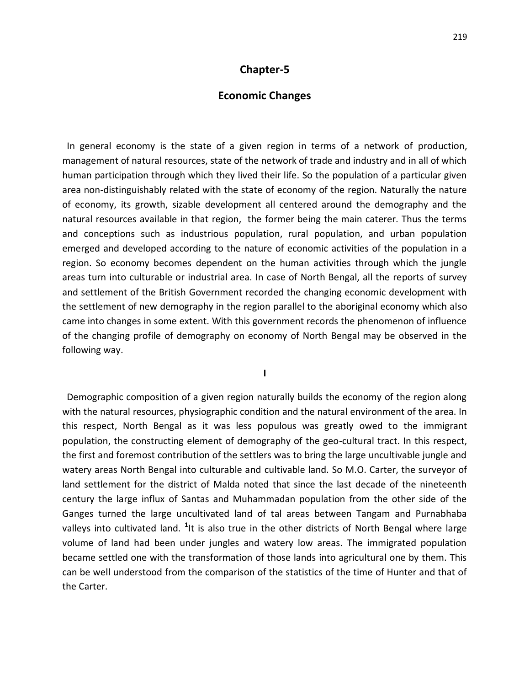#### **Economic Changes**

 In general economy is the state of a given region in terms of a network of production, management of natural resources, state of the network of trade and industry and in all of which human participation through which they lived their life. So the population of a particular given area non-distinguishably related with the state of economy of the region. Naturally the nature of economy, its growth, sizable development all centered around the demography and the natural resources available in that region, the former being the main caterer. Thus the terms and conceptions such as industrious population, rural population, and urban population emerged and developed according to the nature of economic activities of the population in a region. So economy becomes dependent on the human activities through which the jungle areas turn into culturable or industrial area. In case of North Bengal, all the reports of survey and settlement of the British Government recorded the changing economic development with the settlement of new demography in the region parallel to the aboriginal economy which also came into changes in some extent. With this government records the phenomenon of influence of the changing profile of demography on economy of North Bengal may be observed in the following way.

**I**

 Demographic composition of a given region naturally builds the economy of the region along with the natural resources, physiographic condition and the natural environment of the area. In this respect, North Bengal as it was less populous was greatly owed to the immigrant population, the constructing element of demography of the geo-cultural tract. In this respect, the first and foremost contribution of the settlers was to bring the large uncultivable jungle and watery areas North Bengal into culturable and cultivable land. So M.O. Carter, the surveyor of land settlement for the district of Malda noted that since the last decade of the nineteenth century the large influx of Santas and Muhammadan population from the other side of the Ganges turned the large uncultivated land of tal areas between Tangam and Purnabhaba valleys into cultivated land. <sup>1</sup>It is also true in the other districts of North Bengal where large volume of land had been under jungles and watery low areas. The immigrated population became settled one with the transformation of those lands into agricultural one by them. This can be well understood from the comparison of the statistics of the time of Hunter and that of the Carter.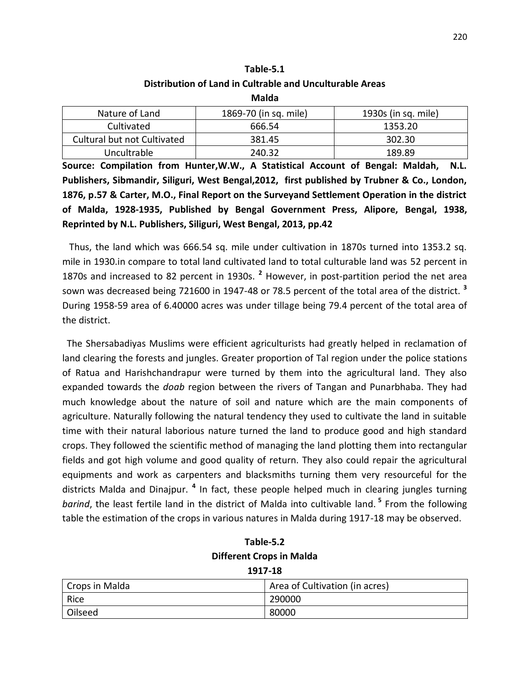### **Table-5.1 Distribution of Land in Cultrable and Unculturable Areas**

**Malda**

| Nature of Land              | 1869-70 (in sq. mile) | 1930s (in sq. mile) |  |
|-----------------------------|-----------------------|---------------------|--|
| Cultivated                  | 666.54                | 1353.20             |  |
| Cultural but not Cultivated | 381.45                | 302.30              |  |
| Uncultrable                 | 240.32                | 189.89              |  |

**Source: Compilation from Hunter,W.W., A Statistical Account of Bengal: Maldah, N.L. Publishers, Sibmandir, Siliguri, West Bengal,2012, first published by Trubner & Co., London, 1876, p.57 & Carter, M.O., Final Report on the Surveyand Settlement Operation in the district of Malda, 1928-1935, Published by Bengal Government Press, Alipore, Bengal, 1938, Reprinted by N.L. Publishers, Siliguri, West Bengal, 2013, pp.42**

 Thus, the land which was 666.54 sq. mile under cultivation in 1870s turned into 1353.2 sq. mile in 1930.in compare to total land cultivated land to total culturable land was 52 percent in 1870s and increased to 82 percent in 1930s. **<sup>2</sup>** However, in post-partition period the net area sown was decreased being 721600 in 1947-48 or 78.5 percent of the total area of the district. **<sup>3</sup>** During 1958-59 area of 6.40000 acres was under tillage being 79.4 percent of the total area of the district.

 The Shersabadiyas Muslims were efficient agriculturists had greatly helped in reclamation of land clearing the forests and jungles. Greater proportion of Tal region under the police stations of Ratua and Harishchandrapur were turned by them into the agricultural land. They also expanded towards the *doab* region between the rivers of Tangan and Punarbhaba. They had much knowledge about the nature of soil and nature which are the main components of agriculture. Naturally following the natural tendency they used to cultivate the land in suitable time with their natural laborious nature turned the land to produce good and high standard crops. They followed the scientific method of managing the land plotting them into rectangular fields and got high volume and good quality of return. They also could repair the agricultural equipments and work as carpenters and blacksmiths turning them very resourceful for the districts Malda and Dinajpur. **<sup>4</sup>** In fact, these people helped much in clearing jungles turning *barind*, the least fertile land in the district of Malda into cultivable land. **<sup>5</sup>** From the following table the estimation of the crops in various natures in Malda during 1917-18 may be observed.

| Table-5.2                       |  |  |  |
|---------------------------------|--|--|--|
| <b>Different Crops in Malda</b> |  |  |  |
| 1917-18                         |  |  |  |

| Crops in Malda | Area of Cultivation (in acres) |
|----------------|--------------------------------|
| Rice           | 290000                         |
| Oilseed        | 80000                          |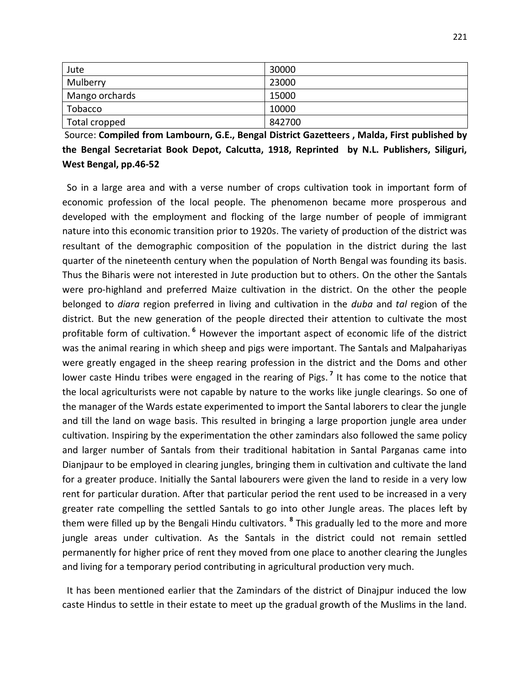| Jute           | 30000  |
|----------------|--------|
| Mulberry       | 23000  |
| Mango orchards | 15000  |
| Tobacco        | 10000  |
| Total cropped  | 842700 |

Source: **Compiled from Lambourn, G.E., Bengal District Gazetteers , Malda, First published by the Bengal Secretariat Book Depot, Calcutta, 1918, Reprinted by N.L. Publishers, Siliguri, West Bengal, pp.46-52**

 So in a large area and with a verse number of crops cultivation took in important form of economic profession of the local people. The phenomenon became more prosperous and developed with the employment and flocking of the large number of people of immigrant nature into this economic transition prior to 1920s. The variety of production of the district was resultant of the demographic composition of the population in the district during the last quarter of the nineteenth century when the population of North Bengal was founding its basis. Thus the Biharis were not interested in Jute production but to others. On the other the Santals were pro-highland and preferred Maize cultivation in the district. On the other the people belonged to *diara* region preferred in living and cultivation in the *duba* and *tal* region of the district. But the new generation of the people directed their attention to cultivate the most profitable form of cultivation. **<sup>6</sup>** However the important aspect of economic life of the district was the animal rearing in which sheep and pigs were important. The Santals and Malpahariyas were greatly engaged in the sheep rearing profession in the district and the Doms and other lower caste Hindu tribes were engaged in the rearing of Pigs. **<sup>7</sup>** It has come to the notice that the local agriculturists were not capable by nature to the works like jungle clearings. So one of the manager of the Wards estate experimented to import the Santal laborers to clear the jungle and till the land on wage basis. This resulted in bringing a large proportion jungle area under cultivation. Inspiring by the experimentation the other zamindars also followed the same policy and larger number of Santals from their traditional habitation in Santal Parganas came into Dianjpaur to be employed in clearing jungles, bringing them in cultivation and cultivate the land for a greater produce. Initially the Santal labourers were given the land to reside in a very low rent for particular duration. After that particular period the rent used to be increased in a very greater rate compelling the settled Santals to go into other Jungle areas. The places left by them were filled up by the Bengali Hindu cultivators. **<sup>8</sup>** This gradually led to the more and more jungle areas under cultivation. As the Santals in the district could not remain settled permanently for higher price of rent they moved from one place to another clearing the Jungles and living for a temporary period contributing in agricultural production very much.

 It has been mentioned earlier that the Zamindars of the district of Dinajpur induced the low caste Hindus to settle in their estate to meet up the gradual growth of the Muslims in the land.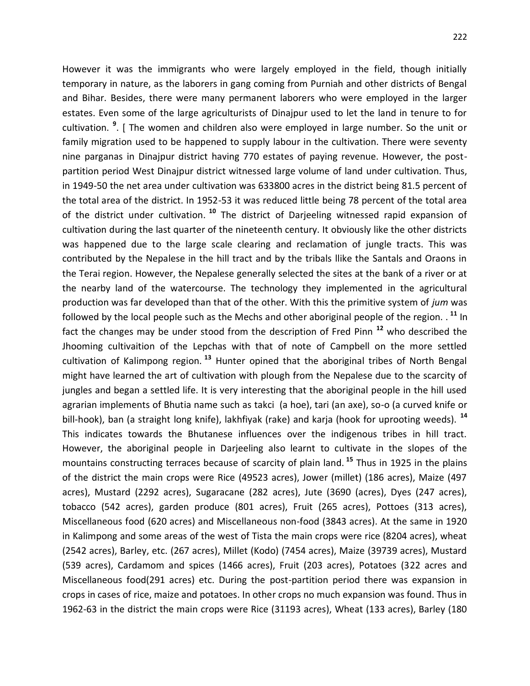However it was the immigrants who were largely employed in the field, though initially temporary in nature, as the laborers in gang coming from Purniah and other districts of Bengal and Bihar. Besides, there were many permanent laborers who were employed in the larger estates. Even some of the large agriculturists of Dinajpur used to let the land in tenure to for cultivation. **<sup>9</sup>** . [ The women and children also were employed in large number. So the unit or family migration used to be happened to supply labour in the cultivation. There were seventy nine parganas in Dinajpur district having 770 estates of paying revenue. However, the postpartition period West Dinajpur district witnessed large volume of land under cultivation. Thus, in 1949-50 the net area under cultivation was 633800 acres in the district being 81.5 percent of the total area of the district. In 1952-53 it was reduced little being 78 percent of the total area of the district under cultivation.<sup>10</sup> The district of Darjeeling witnessed rapid expansion of cultivation during the last quarter of the nineteenth century. It obviously like the other districts was happened due to the large scale clearing and reclamation of jungle tracts. This was contributed by the Nepalese in the hill tract and by the tribals llike the Santals and Oraons in the Terai region. However, the Nepalese generally selected the sites at the bank of a river or at the nearby land of the watercourse. The technology they implemented in the agricultural production was far developed than that of the other. With this the primitive system of *jum* was followed by the local people such as the Mechs and other aboriginal people of the region. . **<sup>11</sup>** In fact the changes may be under stood from the description of Fred Pinn **<sup>12</sup>** who described the Jhooming cultivaition of the Lepchas with that of note of Campbell on the more settled cultivation of Kalimpong region. **<sup>13</sup>** Hunter opined that the aboriginal tribes of North Bengal might have learned the art of cultivation with plough from the Nepalese due to the scarcity of jungles and began a settled life. It is very interesting that the aboriginal people in the hill used agrarian implements of Bhutia name such as takci (a hoe), tari (an axe), so-o (a curved knife or bill-hook), ban (a straight long knife), lakhfiyak (rake) and karja (hook for uprooting weeds). **<sup>14</sup>** This indicates towards the Bhutanese influences over the indigenous tribes in hill tract. However, the aboriginal people in Darjeeling also learnt to cultivate in the slopes of the mountains constructing terraces because of scarcity of plain land. **<sup>15</sup>** Thus in 1925 in the plains of the district the main crops were Rice (49523 acres), Jower (millet) (186 acres), Maize (497 acres), Mustard (2292 acres), Sugaracane (282 acres), Jute (3690 (acres), Dyes (247 acres), tobacco (542 acres), garden produce (801 acres), Fruit (265 acres), Pottoes (313 acres), Miscellaneous food (620 acres) and Miscellaneous non-food (3843 acres). At the same in 1920 in Kalimpong and some areas of the west of Tista the main crops were rice (8204 acres), wheat (2542 acres), Barley, etc. (267 acres), Millet (Kodo) (7454 acres), Maize (39739 acres), Mustard (539 acres), Cardamom and spices (1466 acres), Fruit (203 acres), Potatoes (322 acres and Miscellaneous food(291 acres) etc. During the post-partition period there was expansion in crops in cases of rice, maize and potatoes. In other crops no much expansion was found. Thus in 1962-63 in the district the main crops were Rice (31193 acres), Wheat (133 acres), Barley (180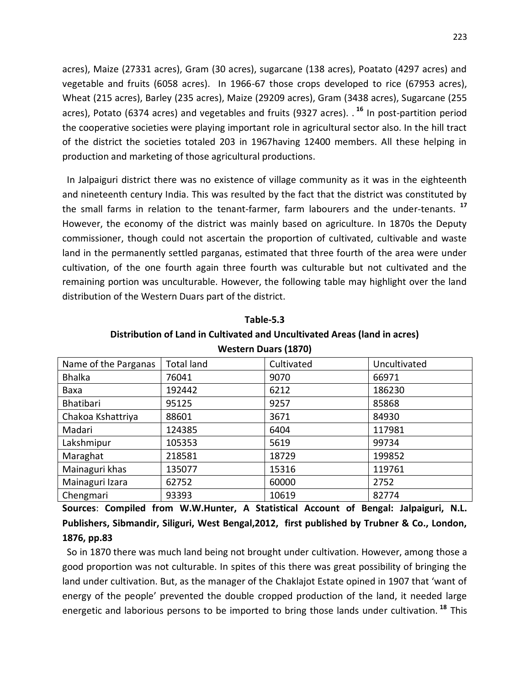acres), Maize (27331 acres), Gram (30 acres), sugarcane (138 acres), Poatato (4297 acres) and vegetable and fruits (6058 acres). In 1966-67 those crops developed to rice (67953 acres), Wheat (215 acres), Barley (235 acres), Maize (29209 acres), Gram (3438 acres), Sugarcane (255 acres), Potato (6374 acres) and vegetables and fruits (9327 acres). . **<sup>16</sup>** In post-partition period the cooperative societies were playing important role in agricultural sector also. In the hill tract of the district the societies totaled 203 in 1967having 12400 members. All these helping in production and marketing of those agricultural productions.

 In Jalpaiguri district there was no existence of village community as it was in the eighteenth and nineteenth century India. This was resulted by the fact that the district was constituted by the small farms in relation to the tenant-farmer, farm labourers and the under-tenants. **<sup>17</sup>** However, the economy of the district was mainly based on agriculture. In 1870s the Deputy commissioner, though could not ascertain the proportion of cultivated, cultivable and waste land in the permanently settled parganas, estimated that three fourth of the area were under cultivation, of the one fourth again three fourth was culturable but not cultivated and the remaining portion was unculturable. However, the following table may highlight over the land distribution of the Western Duars part of the district.

| <b>Western Duars (1870)</b> |                                                 |       |        |  |  |  |
|-----------------------------|-------------------------------------------------|-------|--------|--|--|--|
| Name of the Parganas        | <b>Total land</b><br>Cultivated<br>Uncultivated |       |        |  |  |  |
| <b>Bhalka</b>               | 76041                                           | 9070  | 66971  |  |  |  |
| Baxa                        | 192442                                          | 6212  | 186230 |  |  |  |
| Bhatibari                   | 95125                                           | 9257  | 85868  |  |  |  |
| Chakoa Kshattriya           | 88601                                           | 3671  | 84930  |  |  |  |
| Madari                      | 124385                                          | 6404  | 117981 |  |  |  |
| Lakshmipur                  | 105353                                          | 5619  | 99734  |  |  |  |
| Maraghat                    | 218581                                          | 18729 | 199852 |  |  |  |
| Mainaguri khas              | 135077                                          | 15316 | 119761 |  |  |  |
| Mainaguri Izara             | 62752                                           | 60000 | 2752   |  |  |  |
| Chengmari                   | 93393                                           | 10619 | 82774  |  |  |  |

**Table-5.3 Distribution of Land in Cultivated and Uncultivated Areas (land in acres)**

**Sources**: **Compiled from W.W.Hunter, A Statistical Account of Bengal: Jalpaiguri, N.L. Publishers, Sibmandir, Siliguri, West Bengal,2012, first published by Trubner & Co., London, 1876, pp.83**

 So in 1870 there was much land being not brought under cultivation. However, among those a good proportion was not culturable. In spites of this there was great possibility of bringing the land under cultivation. But, as the manager of the Chaklajot Estate opined in 1907 that 'want of energy of the people' prevented the double cropped production of the land, it needed large energetic and laborious persons to be imported to bring those lands under cultivation. **<sup>18</sup>** This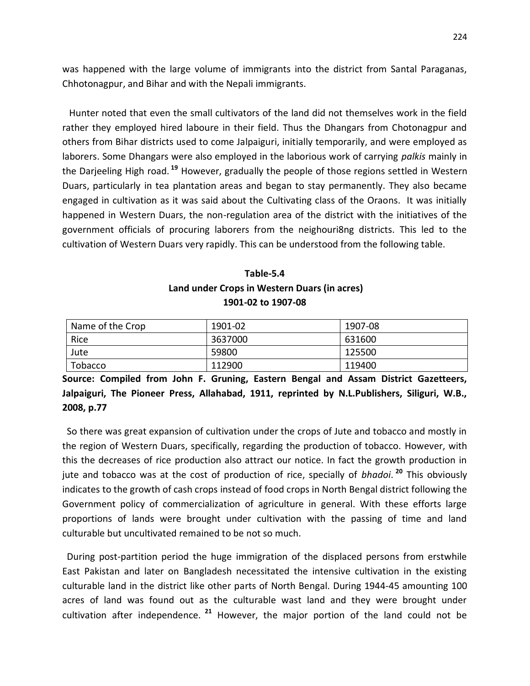was happened with the large volume of immigrants into the district from Santal Paraganas, Chhotonagpur, and Bihar and with the Nepali immigrants.

 Hunter noted that even the small cultivators of the land did not themselves work in the field rather they employed hired laboure in their field. Thus the Dhangars from Chotonagpur and others from Bihar districts used to come Jalpaiguri, initially temporarily, and were employed as laborers. Some Dhangars were also employed in the laborious work of carrying *palkis* mainly in the Darjeeling High road. **<sup>19</sup>** However, gradually the people of those regions settled in Western Duars, particularly in tea plantation areas and began to stay permanently. They also became engaged in cultivation as it was said about the Cultivating class of the Oraons. It was initially happened in Western Duars, the non-regulation area of the district with the initiatives of the government officials of procuring laborers from the neighouri8ng districts. This led to the cultivation of Western Duars very rapidly. This can be understood from the following table.

### **Table-5.4 Land under Crops in Western Duars (in acres) 1901-02 to 1907-08**

| Name of the Crop | 1901-02 | 1907-08 |
|------------------|---------|---------|
| Rice             | 3637000 | 631600  |
| Jute             | 59800   | 125500  |
| Tobacco          | 112900  | 119400  |

**Source: Compiled from John F. Gruning, Eastern Bengal and Assam District Gazetteers, Jalpaiguri, The Pioneer Press, Allahabad, 1911, reprinted by N.L.Publishers, Siliguri, W.B., 2008, p.77**

 So there was great expansion of cultivation under the crops of Jute and tobacco and mostly in the region of Western Duars, specifically, regarding the production of tobacco. However, with this the decreases of rice production also attract our notice. In fact the growth production in jute and tobacco was at the cost of production of rice, specially of *bhadoi*. **<sup>20</sup>** This obviously indicates to the growth of cash crops instead of food crops in North Bengal district following the Government policy of commercialization of agriculture in general. With these efforts large proportions of lands were brought under cultivation with the passing of time and land culturable but uncultivated remained to be not so much.

 During post-partition period the huge immigration of the displaced persons from erstwhile East Pakistan and later on Bangladesh necessitated the intensive cultivation in the existing culturable land in the district like other parts of North Bengal. During 1944-45 amounting 100 acres of land was found out as the culturable wast land and they were brought under cultivation after independence. **<sup>21</sup>** However, the major portion of the land could not be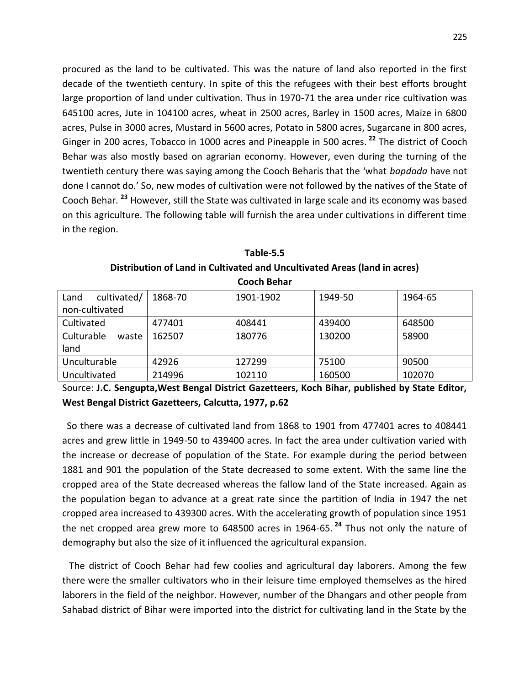procured as the land to be cultivated. This was the nature of land also reported in the first decade of the twentieth century. In spite of this the refugees with their best efforts brought large proportion of land under cultivation. Thus in 1970-71 the area under rice cultivation was 645100 acres, Jute in 104100 acres, wheat in 2500 acres, Barley in 1500 acres, Maize in 6800 acres, Pulse in 3000 acres, Mustard in 5600 acres, Potato in 5800 acres, Sugarcane in 800 acres, Ginger in 200 acres, Tobacco in 1000 acres and Pineapple in 500 acres. **<sup>22</sup>** The district of Cooch Behar was also mostly based on agrarian economy. However, even during the turning of the twentieth century there was saying among the Cooch Beharis that the 'what *bapdada* have not done I cannot do.' So, new modes of cultivation were not followed by the natives of the State of Cooch Behar. **<sup>23</sup>** However, still the State was cultivated in large scale and its economy was based on this agriculture. The following table will furnish the area under cultivations in different time in the region.

| LUULII DEIIAI       |         |           |         |         |  |  |
|---------------------|---------|-----------|---------|---------|--|--|
| cultivated/<br>Land | 1868-70 | 1901-1902 | 1949-50 | 1964-65 |  |  |
| non-cultivated      |         |           |         |         |  |  |
| Cultivated          | 477401  | 408441    | 439400  | 648500  |  |  |
| Culturable<br>waste | 162507  | 180776    | 130200  | 58900   |  |  |
| land                |         |           |         |         |  |  |
| Unculturable        | 42926   | 127299    | 75100   | 90500   |  |  |
| Uncultivated        | 214996  | 102110    | 160500  | 102070  |  |  |

**Table-5.5 Distribution of Land in Cultivated and Uncultivated Areas (land in acres) Cooch Behar**

Source: **J.C. Sengupta,West Bengal District Gazetteers, Koch Bihar, published by State Editor, West Bengal District Gazetteers, Calcutta, 1977, p.62**

 So there was a decrease of cultivated land from 1868 to 1901 from 477401 acres to 408441 acres and grew little in 1949-50 to 439400 acres. In fact the area under cultivation varied with the increase or decrease of population of the State. For example during the period between 1881 and 901 the population of the State decreased to some extent. With the same line the cropped area of the State decreased whereas the fallow land of the State increased. Again as the population began to advance at a great rate since the partition of India in 1947 the net cropped area increased to 439300 acres. With the accelerating growth of population since 1951 the net cropped area grew more to 648500 acres in 1964-65. **<sup>24</sup>** Thus not only the nature of demography but also the size of it influenced the agricultural expansion.

 The district of Cooch Behar had few coolies and agricultural day laborers. Among the few there were the smaller cultivators who in their leisure time employed themselves as the hired laborers in the field of the neighbor. However, number of the Dhangars and other people from Sahabad district of Bihar were imported into the district for cultivating land in the State by the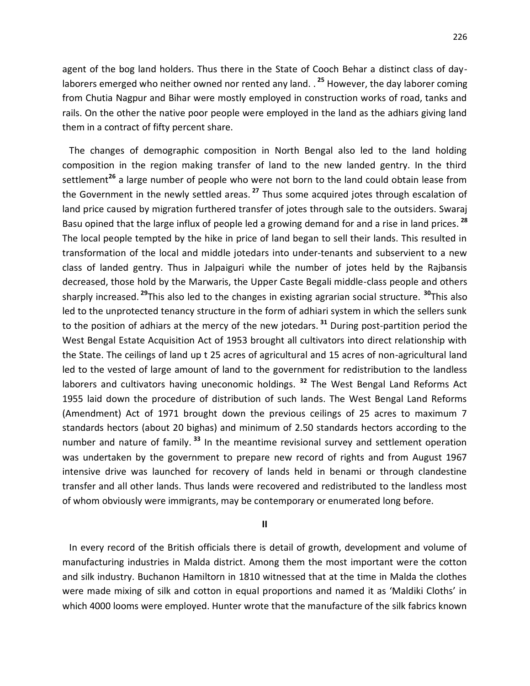agent of the bog land holders. Thus there in the State of Cooch Behar a distinct class of daylaborers emerged who neither owned nor rented any land. . **<sup>25</sup>** However, the day laborer coming from Chutia Nagpur and Bihar were mostly employed in construction works of road, tanks and rails. On the other the native poor people were employed in the land as the adhiars giving land them in a contract of fifty percent share.

 The changes of demographic composition in North Bengal also led to the land holding composition in the region making transfer of land to the new landed gentry. In the third settlement**<sup>26</sup>** a large number of people who were not born to the land could obtain lease from the Government in the newly settled areas. **<sup>27</sup>** Thus some acquired jotes through escalation of land price caused by migration furthered transfer of jotes through sale to the outsiders. Swaraj Basu opined that the large influx of people led a growing demand for and a rise in land prices. **<sup>28</sup>** The local people tempted by the hike in price of land began to sell their lands. This resulted in transformation of the local and middle jotedars into under-tenants and subservient to a new class of landed gentry. Thus in Jalpaiguri while the number of jotes held by the Rajbansis decreased, those hold by the Marwaris, the Upper Caste Begali middle-class people and others sharply increased. **<sup>29</sup>**This also led to the changes in existing agrarian social structure. **<sup>30</sup>**This also led to the unprotected tenancy structure in the form of adhiari system in which the sellers sunk to the position of adhiars at the mercy of the new jotedars. **<sup>31</sup>** During post-partition period the West Bengal Estate Acquisition Act of 1953 brought all cultivators into direct relationship with the State. The ceilings of land up t 25 acres of agricultural and 15 acres of non-agricultural land led to the vested of large amount of land to the government for redistribution to the landless laborers and cultivators having uneconomic holdings. **<sup>32</sup>** The West Bengal Land Reforms Act 1955 laid down the procedure of distribution of such lands. The West Bengal Land Reforms (Amendment) Act of 1971 brought down the previous ceilings of 25 acres to maximum 7 standards hectors (about 20 bighas) and minimum of 2.50 standards hectors according to the number and nature of family. **<sup>33</sup>** In the meantime revisional survey and settlement operation was undertaken by the government to prepare new record of rights and from August 1967 intensive drive was launched for recovery of lands held in benami or through clandestine transfer and all other lands. Thus lands were recovered and redistributed to the landless most of whom obviously were immigrants, may be contemporary or enumerated long before.

**II**

 In every record of the British officials there is detail of growth, development and volume of manufacturing industries in Malda district. Among them the most important were the cotton and silk industry. Buchanon Hamiltorn in 1810 witnessed that at the time in Malda the clothes were made mixing of silk and cotton in equal proportions and named it as 'Maldiki Cloths' in which 4000 looms were employed. Hunter wrote that the manufacture of the silk fabrics known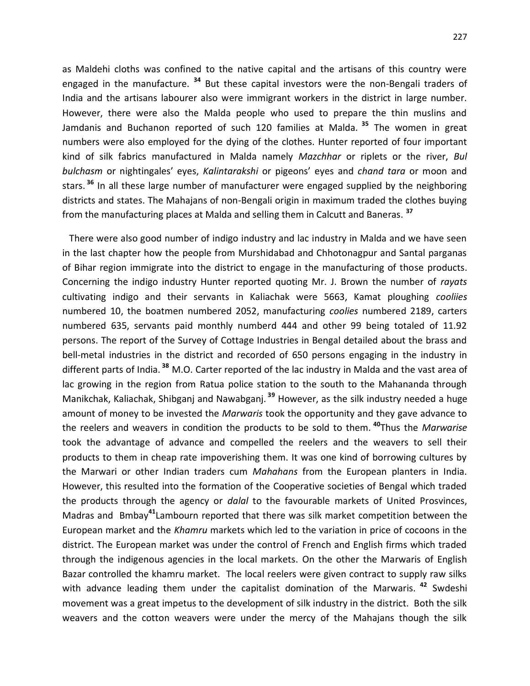as Maldehi cloths was confined to the native capital and the artisans of this country were engaged in the manufacture. **<sup>34</sup>** But these capital investors were the non-Bengali traders of India and the artisans labourer also were immigrant workers in the district in large number. However, there were also the Malda people who used to prepare the thin muslins and Jamdanis and Buchanon reported of such 120 families at Malda. **<sup>35</sup>** The women in great numbers were also employed for the dying of the clothes. Hunter reported of four important kind of silk fabrics manufactured in Malda namely *Mazchhar* or riplets or the river, *Bul bulchasm* or nightingales' eyes, *Kalintarakshi* or pigeons' eyes and *chand tara* or moon and stars. **<sup>36</sup>** In all these large number of manufacturer were engaged supplied by the neighboring districts and states. The Mahajans of non-Bengali origin in maximum traded the clothes buying from the manufacturing places at Malda and selling them in Calcutt and Baneras. **<sup>37</sup>**

 There were also good number of indigo industry and lac industry in Malda and we have seen in the last chapter how the people from Murshidabad and Chhotonagpur and Santal parganas of Bihar region immigrate into the district to engage in the manufacturing of those products. Concerning the indigo industry Hunter reported quoting Mr. J. Brown the number of *rayats* cultivating indigo and their servants in Kaliachak were 5663, Kamat ploughing *cooliies* numbered 10, the boatmen numbered 2052, manufacturing *coolies* numbered 2189, carters numbered 635, servants paid monthly numberd 444 and other 99 being totaled of 11.92 persons. The report of the Survey of Cottage Industries in Bengal detailed about the brass and bell-metal industries in the district and recorded of 650 persons engaging in the industry in different parts of India. **<sup>38</sup>** M.O. Carter reported of the lac industry in Malda and the vast area of lac growing in the region from Ratua police station to the south to the Mahananda through Manikchak, Kaliachak, Shibganj and Nawabganj. **<sup>39</sup>** However, as the silk industry needed a huge amount of money to be invested the *Marwaris* took the opportunity and they gave advance to the reelers and weavers in condition the products to be sold to them. **<sup>40</sup>**Thus the *Marwarise* took the advantage of advance and compelled the reelers and the weavers to sell their products to them in cheap rate impoverishing them. It was one kind of borrowing cultures by the Marwari or other Indian traders cum *Mahahans* from the European planters in India. However, this resulted into the formation of the Cooperative societies of Bengal which traded the products through the agency or *dalal* to the favourable markets of United Prosvinces, Madras and Bmbay**<sup>41</sup>**Lambourn reported that there was silk market competition between the European market and the *Khamru* markets which led to the variation in price of cocoons in the district. The European market was under the control of French and English firms which traded through the indigenous agencies in the local markets. On the other the Marwaris of English Bazar controlled the khamru market. The local reelers were given contract to supply raw silks with advance leading them under the capitalist domination of the Marwaris. **<sup>42</sup>** Swdeshi movement was a great impetus to the development of silk industry in the district. Both the silk weavers and the cotton weavers were under the mercy of the Mahajans though the silk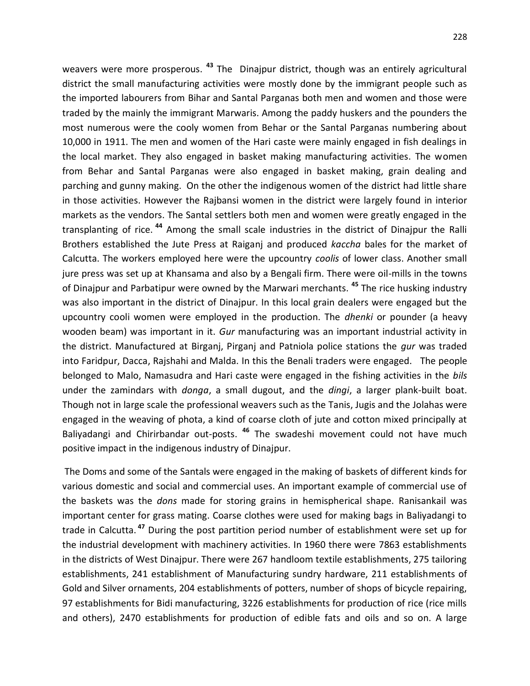weavers were more prosperous. **<sup>43</sup>** The Dinajpur district, though was an entirely agricultural district the small manufacturing activities were mostly done by the immigrant people such as the imported labourers from Bihar and Santal Parganas both men and women and those were traded by the mainly the immigrant Marwaris. Among the paddy huskers and the pounders the most numerous were the cooly women from Behar or the Santal Parganas numbering about 10,000 in 1911. The men and women of the Hari caste were mainly engaged in fish dealings in the local market. They also engaged in basket making manufacturing activities. The women from Behar and Santal Parganas were also engaged in basket making, grain dealing and parching and gunny making. On the other the indigenous women of the district had little share in those activities. However the Rajbansi women in the district were largely found in interior markets as the vendors. The Santal settlers both men and women were greatly engaged in the transplanting of rice. **<sup>44</sup>** Among the small scale industries in the district of Dinajpur the Ralli Brothers established the Jute Press at Raiganj and produced *kaccha* bales for the market of Calcutta. The workers employed here were the upcountry *coolis* of lower class. Another small jure press was set up at Khansama and also by a Bengali firm. There were oil-mills in the towns of Dinajpur and Parbatipur were owned by the Marwari merchants. **<sup>45</sup>** The rice husking industry was also important in the district of Dinajpur. In this local grain dealers were engaged but the upcountry cooli women were employed in the production. The *dhenki* or pounder (a heavy wooden beam) was important in it. *Gur* manufacturing was an important industrial activity in the district. Manufactured at Birganj, Pirganj and Patniola police stations the *gur* was traded into Faridpur, Dacca, Rajshahi and Malda. In this the Benali traders were engaged. The people belonged to Malo, Namasudra and Hari caste were engaged in the fishing activities in the *bils* under the zamindars with *donga*, a small dugout, and the *dingi*, a larger plank-built boat. Though not in large scale the professional weavers such as the Tanis, Jugis and the Jolahas were engaged in the weaving of phota, a kind of coarse cloth of jute and cotton mixed principally at Baliyadangi and Chirirbandar out-posts. **<sup>46</sup>** The swadeshi movement could not have much positive impact in the indigenous industry of Dinajpur.

The Doms and some of the Santals were engaged in the making of baskets of different kinds for various domestic and social and commercial uses. An important example of commercial use of the baskets was the *dons* made for storing grains in hemispherical shape. Ranisankail was important center for grass mating. Coarse clothes were used for making bags in Baliyadangi to trade in Calcutta. **<sup>47</sup>** During the post partition period number of establishment were set up for the industrial development with machinery activities. In 1960 there were 7863 establishments in the districts of West Dinajpur. There were 267 handloom textile establishments, 275 tailoring establishments, 241 establishment of Manufacturing sundry hardware, 211 establishments of Gold and Silver ornaments, 204 establishments of potters, number of shops of bicycle repairing, 97 establishments for Bidi manufacturing, 3226 establishments for production of rice (rice mills and others), 2470 establishments for production of edible fats and oils and so on. A large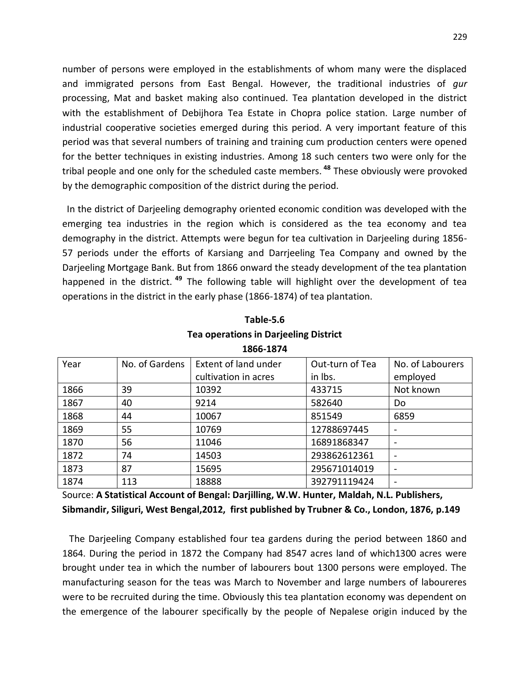number of persons were employed in the establishments of whom many were the displaced and immigrated persons from East Bengal. However, the traditional industries of *gur* processing, Mat and basket making also continued. Tea plantation developed in the district with the establishment of Debijhora Tea Estate in Chopra police station. Large number of industrial cooperative societies emerged during this period. A very important feature of this period was that several numbers of training and training cum production centers were opened for the better techniques in existing industries. Among 18 such centers two were only for the tribal people and one only for the scheduled caste members. **<sup>48</sup>** These obviously were provoked by the demographic composition of the district during the period.

 In the district of Darjeeling demography oriented economic condition was developed with the emerging tea industries in the region which is considered as the tea economy and tea demography in the district. Attempts were begun for tea cultivation in Darjeeling during 1856- 57 periods under the efforts of Karsiang and Darrjeeling Tea Company and owned by the Darjeeling Mortgage Bank. But from 1866 onward the steady development of the tea plantation happened in the district. **<sup>49</sup>** The following table will highlight over the development of tea operations in the district in the early phase (1866-1874) of tea plantation.

|      | 1000-1074      |                      |                 |                  |  |  |  |
|------|----------------|----------------------|-----------------|------------------|--|--|--|
| Year | No. of Gardens | Extent of land under | Out-turn of Tea | No. of Labourers |  |  |  |
|      |                | cultivation in acres | in lbs.         | employed         |  |  |  |
| 1866 | 39             | 10392                | 433715          | Not known        |  |  |  |
| 1867 | 40             | 9214                 | 582640          | Do               |  |  |  |
| 1868 | 44             | 10067                | 851549          | 6859             |  |  |  |
| 1869 | 55             | 10769                | 12788697445     |                  |  |  |  |
| 1870 | 56             | 11046                | 16891868347     |                  |  |  |  |
| 1872 | 74             | 14503                | 293862612361    |                  |  |  |  |
| 1873 | 87             | 15695                | 295671014019    |                  |  |  |  |
| 1874 | 113            | 18888                | 392791119424    |                  |  |  |  |

**Table-5.6 Tea operations in Darjeeling District 1866-1874**

Source: **A Statistical Account of Bengal: Darjilling, W.W. Hunter, Maldah, N.L. Publishers, Sibmandir, Siliguri, West Bengal,2012, first published by Trubner & Co., London, 1876, p.149**

 The Darjeeling Company established four tea gardens during the period between 1860 and 1864. During the period in 1872 the Company had 8547 acres land of which1300 acres were brought under tea in which the number of labourers bout 1300 persons were employed. The manufacturing season for the teas was March to November and large numbers of laboureres were to be recruited during the time. Obviously this tea plantation economy was dependent on the emergence of the labourer specifically by the people of Nepalese origin induced by the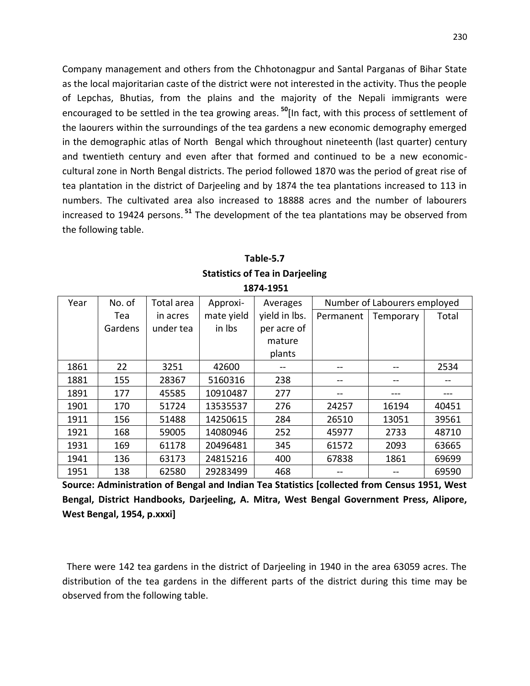Company management and others from the Chhotonagpur and Santal Parganas of Bihar State as the local majoritarian caste of the district were not interested in the activity. Thus the people of Lepchas, Bhutias, from the plains and the majority of the Nepali immigrants were encouraged to be settled in the tea growing areas. **<sup>50</sup>**[In fact, with this process of settlement of the laourers within the surroundings of the tea gardens a new economic demography emerged in the demographic atlas of North Bengal which throughout nineteenth (last quarter) century and twentieth century and even after that formed and continued to be a new economiccultural zone in North Bengal districts. The period followed 1870 was the period of great rise of tea plantation in the district of Darjeeling and by 1874 the tea plantations increased to 113 in numbers. The cultivated area also increased to 18888 acres and the number of labourers increased to 19424 persons. **<sup>51</sup>** The development of the tea plantations may be observed from the following table.

| 1 avic-J. <i>I</i>                     |  |
|----------------------------------------|--|
| <b>Statistics of Tea in Darjeeling</b> |  |
| 1874-1951                              |  |

**Table-5.7**

| Year | No. of  | Total area | Approxi-   | Averages      |           | Number of Labourers employed |       |
|------|---------|------------|------------|---------------|-----------|------------------------------|-------|
|      | Tea     | in acres   | mate yield | yield in lbs. | Permanent | Temporary                    | Total |
|      | Gardens | under tea  | in lbs     | per acre of   |           |                              |       |
|      |         |            |            | mature        |           |                              |       |
|      |         |            |            | plants        |           |                              |       |
| 1861 | 22      | 3251       | 42600      | --            |           |                              | 2534  |
| 1881 | 155     | 28367      | 5160316    | 238           |           |                              |       |
| 1891 | 177     | 45585      | 10910487   | 277           |           |                              |       |
| 1901 | 170     | 51724      | 13535537   | 276           | 24257     | 16194                        | 40451 |
| 1911 | 156     | 51488      | 14250615   | 284           | 26510     | 13051                        | 39561 |
| 1921 | 168     | 59005      | 14080946   | 252           | 45977     | 2733                         | 48710 |
| 1931 | 169     | 61178      | 20496481   | 345           | 61572     | 2093                         | 63665 |
| 1941 | 136     | 63173      | 24815216   | 400           | 67838     | 1861                         | 69699 |
| 1951 | 138     | 62580      | 29283499   | 468           |           |                              | 69590 |

**Source: Administration of Bengal and Indian Tea Statistics [collected from Census 1951, West Bengal, District Handbooks, Darjeeling, A. Mitra, West Bengal Government Press, Alipore, West Bengal, 1954, p.xxxi]**

 There were 142 tea gardens in the district of Darjeeling in 1940 in the area 63059 acres. The distribution of the tea gardens in the different parts of the district during this time may be observed from the following table.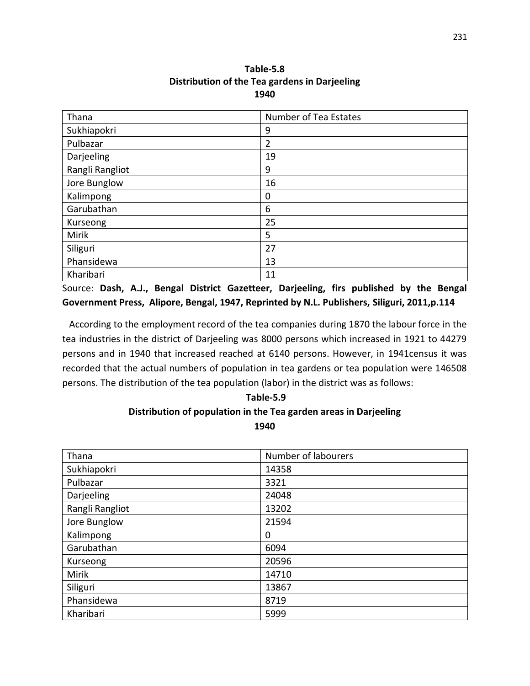| Table-5.8                                     |
|-----------------------------------------------|
| Distribution of the Tea gardens in Darjeeling |
| 1940                                          |

**Table-5.8**

| Thana           | Number of Tea Estates |
|-----------------|-----------------------|
| Sukhiapokri     | 9                     |
| Pulbazar        | $\overline{2}$        |
| Darjeeling      | 19                    |
| Rangli Rangliot | 9                     |
| Jore Bunglow    | 16                    |
| Kalimpong       | 0                     |
| Garubathan      | 6                     |
| Kurseong        | 25                    |
| Mirik           | 5                     |
| Siliguri        | 27                    |
| Phansidewa      | 13                    |
| Kharibari       | 11                    |

Source: **Dash, A.J., Bengal District Gazetteer, Darjeeling, firs published by the Bengal Government Press, Alipore, Bengal, 1947, Reprinted by N.L. Publishers, Siliguri, 2011,p.114**

 According to the employment record of the tea companies during 1870 the labour force in the tea industries in the district of Darjeeling was 8000 persons which increased in 1921 to 44279 persons and in 1940 that increased reached at 6140 persons. However, in 1941census it was recorded that the actual numbers of population in tea gardens or tea population were 146508 persons. The distribution of the tea population (labor) in the district was as follows:

### **Table-5.9 Distribution of population in the Tea garden areas in Darjeeling 1940**

| Thana           | Number of labourers |
|-----------------|---------------------|
| Sukhiapokri     | 14358               |
| Pulbazar        | 3321                |
| Darjeeling      | 24048               |
| Rangli Rangliot | 13202               |
| Jore Bunglow    | 21594               |
| Kalimpong       | 0                   |
| Garubathan      | 6094                |
| Kurseong        | 20596               |
| Mirik           | 14710               |
| Siliguri        | 13867               |
| Phansidewa      | 8719                |
| Kharibari       | 5999                |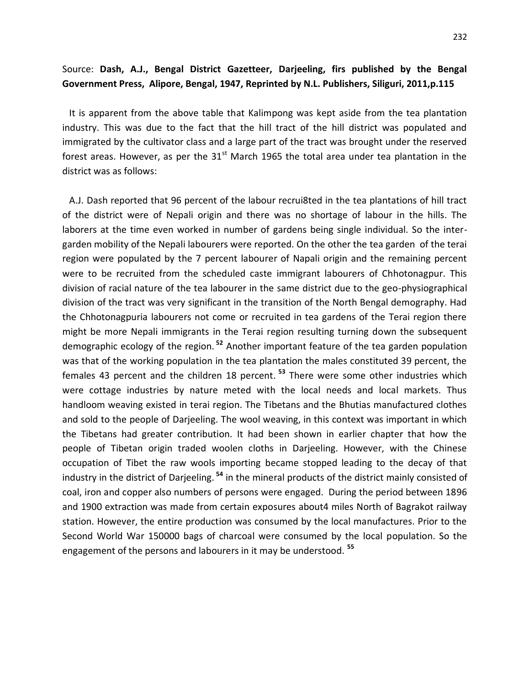### Source: **Dash, A.J., Bengal District Gazetteer, Darjeeling, firs published by the Bengal Government Press, Alipore, Bengal, 1947, Reprinted by N.L. Publishers, Siliguri, 2011,p.115**

 It is apparent from the above table that Kalimpong was kept aside from the tea plantation industry. This was due to the fact that the hill tract of the hill district was populated and immigrated by the cultivator class and a large part of the tract was brought under the reserved forest areas. However, as per the  $31<sup>st</sup>$  March 1965 the total area under tea plantation in the district was as follows:

 A.J. Dash reported that 96 percent of the labour recrui8ted in the tea plantations of hill tract of the district were of Nepali origin and there was no shortage of labour in the hills. The laborers at the time even worked in number of gardens being single individual. So the intergarden mobility of the Nepali labourers were reported. On the other the tea garden of the terai region were populated by the 7 percent labourer of Napali origin and the remaining percent were to be recruited from the scheduled caste immigrant labourers of Chhotonagpur. This division of racial nature of the tea labourer in the same district due to the geo-physiographical division of the tract was very significant in the transition of the North Bengal demography. Had the Chhotonagpuria labourers not come or recruited in tea gardens of the Terai region there might be more Nepali immigrants in the Terai region resulting turning down the subsequent demographic ecology of the region. **<sup>52</sup>** Another important feature of the tea garden population was that of the working population in the tea plantation the males constituted 39 percent, the females 43 percent and the children 18 percent. **<sup>53</sup>** There were some other industries which were cottage industries by nature meted with the local needs and local markets. Thus handloom weaving existed in terai region. The Tibetans and the Bhutias manufactured clothes and sold to the people of Darjeeling. The wool weaving, in this context was important in which the Tibetans had greater contribution. It had been shown in earlier chapter that how the people of Tibetan origin traded woolen cloths in Darjeeling. However, with the Chinese occupation of Tibet the raw wools importing became stopped leading to the decay of that industry in the district of Darjeeling. **<sup>54</sup>** in the mineral products of the district mainly consisted of coal, iron and copper also numbers of persons were engaged. During the period between 1896 and 1900 extraction was made from certain exposures about4 miles North of Bagrakot railway station. However, the entire production was consumed by the local manufactures. Prior to the Second World War 150000 bags of charcoal were consumed by the local population. So the engagement of the persons and labourers in it may be understood. **<sup>55</sup>**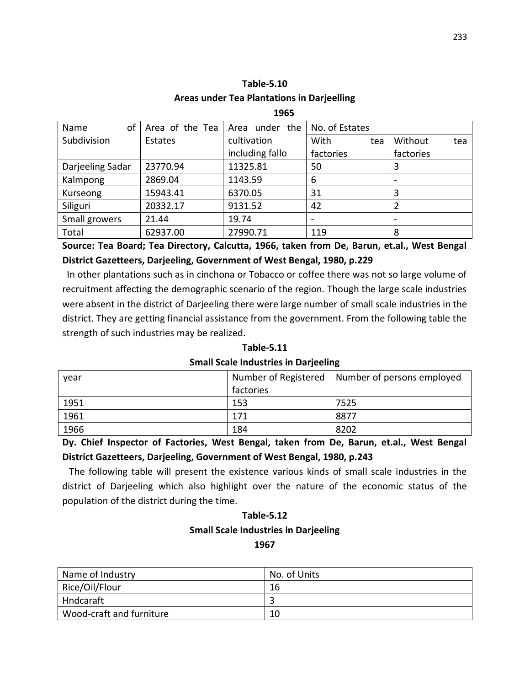|                  |                 | 1965              |                          |                          |
|------------------|-----------------|-------------------|--------------------------|--------------------------|
| of<br>Name       | Area of the Tea | under the<br>Area | No. of Estates           |                          |
| Subdivision      | Estates         | cultivation       | With<br>tea              | Without<br>tea           |
|                  |                 | including fallo   | factories                | factories                |
| Darjeeling Sadar | 23770.94        | 11325.81          | 50                       | 3                        |
| Kalmpong         | 2869.04         | 1143.59           | 6                        |                          |
| Kurseong         | 15943.41        | 6370.05           | 31                       | 3                        |
| Siliguri         | 20332.17        | 9131.52           | 42                       | 2                        |
| Small growers    | 21.44           | 19.74             | $\overline{\phantom{0}}$ | $\overline{\phantom{a}}$ |
| Total            | 62937.00        | 27990.71          | 119                      | 8                        |

**Table-5.10 Areas under Tea Plantations in Darjeelling**

**Source: Tea Board; Tea Directory, Calcutta, 1966, taken from De, Barun, et.al., West Bengal District Gazetteers, Darjeeling, Government of West Bengal, 1980, p.229**

 In other plantations such as in cinchona or Tobacco or coffee there was not so large volume of recruitment affecting the demographic scenario of the region. Though the large scale industries were absent in the district of Darjeeling there were large number of small scale industries in the district. They are getting financial assistance from the government. From the following table the strength of such industries may be realized.

| <b>Table-5.11</b>                           |  |
|---------------------------------------------|--|
| <b>Small Scale Industries in Darjeeling</b> |  |

| year | Number of Registered | Number of persons employed |
|------|----------------------|----------------------------|
|      | factories            |                            |
| 1951 | 153                  | 7525                       |
| 1961 | 171                  | 8877                       |
| 1966 | 184                  | 8202                       |

**Dy. Chief Inspector of Factories, West Bengal, taken from De, Barun, et.al., West Bengal District Gazetteers, Darjeeling, Government of West Bengal, 1980, p.243**

 The following table will present the existence various kinds of small scale industries in the district of Darjeeling which also highlight over the nature of the economic status of the population of the district during the time.

### **Table-5.12 Small Scale Industries in Darjeeling 1967**

| Name of Industry         | No. of Units |
|--------------------------|--------------|
| Rice/Oil/Flour           | 16           |
| Hndcaraft                |              |
| Wood-craft and furniture | 10           |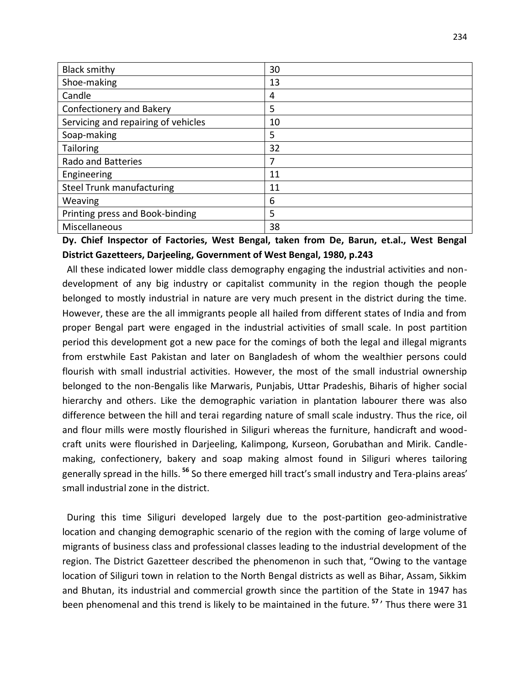| <b>Black smithy</b>                 | 30 |
|-------------------------------------|----|
| Shoe-making                         | 13 |
| Candle                              | 4  |
| <b>Confectionery and Bakery</b>     | 5  |
| Servicing and repairing of vehicles | 10 |
| Soap-making                         | 5  |
| <b>Tailoring</b>                    | 32 |
| <b>Rado and Batteries</b>           | 7  |
| Engineering                         | 11 |
| <b>Steel Trunk manufacturing</b>    | 11 |
| Weaving                             | 6  |
| Printing press and Book-binding     | 5  |
| Miscellaneous                       | 38 |

**Dy. Chief Inspector of Factories, West Bengal, taken from De, Barun, et.al., West Bengal District Gazetteers, Darjeeling, Government of West Bengal, 1980, p.243**

 All these indicated lower middle class demography engaging the industrial activities and nondevelopment of any big industry or capitalist community in the region though the people belonged to mostly industrial in nature are very much present in the district during the time. However, these are the all immigrants people all hailed from different states of India and from proper Bengal part were engaged in the industrial activities of small scale. In post partition period this development got a new pace for the comings of both the legal and illegal migrants from erstwhile East Pakistan and later on Bangladesh of whom the wealthier persons could flourish with small industrial activities. However, the most of the small industrial ownership belonged to the non-Bengalis like Marwaris, Punjabis, Uttar Pradeshis, Biharis of higher social hierarchy and others. Like the demographic variation in plantation labourer there was also difference between the hill and terai regarding nature of small scale industry. Thus the rice, oil and flour mills were mostly flourished in Siliguri whereas the furniture, handicraft and woodcraft units were flourished in Darjeeling, Kalimpong, Kurseon, Gorubathan and Mirik. Candlemaking, confectionery, bakery and soap making almost found in Siliguri wheres tailoring generally spread in the hills. **<sup>56</sup>** So there emerged hill tract's small industry and Tera-plains areas' small industrial zone in the district.

 During this time Siliguri developed largely due to the post-partition geo-administrative location and changing demographic scenario of the region with the coming of large volume of migrants of business class and professional classes leading to the industrial development of the region. The District Gazetteer described the phenomenon in such that, "Owing to the vantage location of Siliguri town in relation to the North Bengal districts as well as Bihar, Assam, Sikkim and Bhutan, its industrial and commercial growth since the partition of the State in 1947 has been phenomenal and this trend is likely to be maintained in the future. **<sup>57</sup>**' Thus there were 31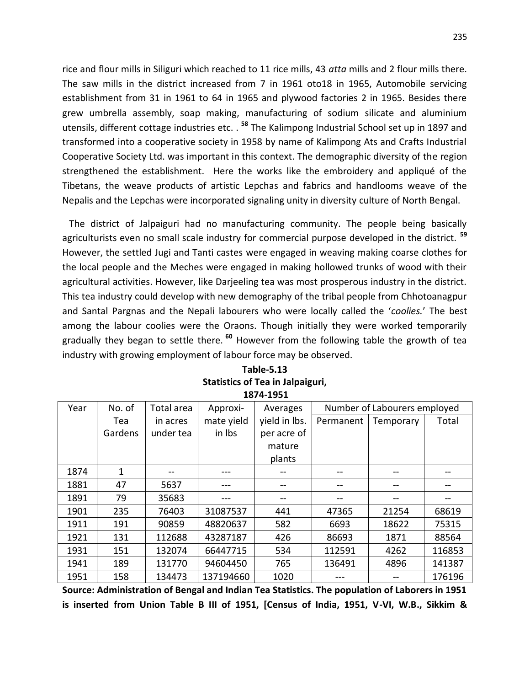rice and flour mills in Siliguri which reached to 11 rice mills, 43 *atta* mills and 2 flour mills there. The saw mills in the district increased from 7 in 1961 oto18 in 1965, Automobile servicing establishment from 31 in 1961 to 64 in 1965 and plywood factories 2 in 1965. Besides there grew umbrella assembly, soap making, manufacturing of sodium silicate and aluminium utensils, different cottage industries etc. . **<sup>58</sup>** The Kalimpong Industrial School set up in 1897 and transformed into a cooperative society in 1958 by name of Kalimpong Ats and Crafts Industrial Cooperative Society Ltd. was important in this context. The demographic diversity of the region strengthened the establishment. Here the works like the embroidery and appliqué of the Tibetans, the weave products of artistic Lepchas and fabrics and handlooms weave of the Nepalis and the Lepchas were incorporated signaling unity in diversity culture of North Bengal.

 The district of Jalpaiguri had no manufacturing community. The people being basically agriculturists even no small scale industry for commercial purpose developed in the district. **<sup>59</sup>** However, the settled Jugi and Tanti castes were engaged in weaving making coarse clothes for the local people and the Meches were engaged in making hollowed trunks of wood with their agricultural activities. However, like Darjeeling tea was most prosperous industry in the district. This tea industry could develop with new demography of the tribal people from Chhotoanagpur and Santal Pargnas and the Nepali labourers who were locally called the '*coolies.*' The best among the labour coolies were the Oraons. Though initially they were worked temporarily gradually they began to settle there. **<sup>60</sup>** However from the following table the growth of tea industry with growing employment of labour force may be observed.

| Year | No. of  | Total area | Approxi-   | Averages      | Number of Labourers employed |           |        |
|------|---------|------------|------------|---------------|------------------------------|-----------|--------|
|      | Tea     | in acres   | mate yield | yield in lbs. | Permanent                    | Temporary | Total  |
|      | Gardens | under tea  | in Ibs     | per acre of   |                              |           |        |
|      |         |            |            | mature        |                              |           |        |
|      |         |            |            | plants        |                              |           |        |
| 1874 | 1       | $- -$      | ---        |               |                              |           | --     |
| 1881 | 47      | 5637       | ---        |               |                              |           | --     |
| 1891 | 79      | 35683      |            |               |                              |           |        |
| 1901 | 235     | 76403      | 31087537   | 441           | 47365                        | 21254     | 68619  |
| 1911 | 191     | 90859      | 48820637   | 582           | 6693                         | 18622     | 75315  |
| 1921 | 131     | 112688     | 43287187   | 426           | 86693                        | 1871      | 88564  |
| 1931 | 151     | 132074     | 66447715   | 534           | 112591                       | 4262      | 116853 |
| 1941 | 189     | 131770     | 94604450   | 765           | 136491                       | 4896      | 141387 |
| 1951 | 158     | 134473     | 137194660  | 1020          |                              |           | 176196 |

| Table-5.13                              |
|-----------------------------------------|
| <b>Statistics of Tea in Jalpaiguri,</b> |
| 1874-1951                               |

**Source: Administration of Bengal and Indian Tea Statistics. The population of Laborers in 1951 is inserted from Union Table B III of 1951, [Census of India, 1951, V-VI, W.B., Sikkim &**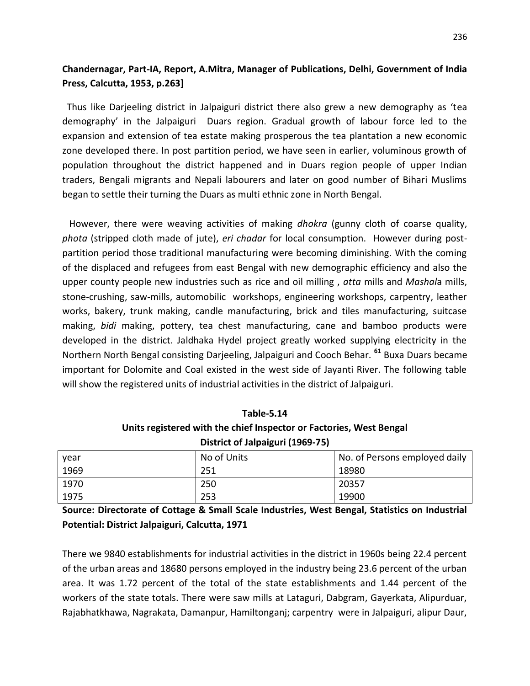### **Chandernagar, Part-IA, Report, A.Mitra, Manager of Publications, Delhi, Government of India Press, Calcutta, 1953, p.263]**

 Thus like Darjeeling district in Jalpaiguri district there also grew a new demography as 'tea demography' in the Jalpaiguri Duars region. Gradual growth of labour force led to the expansion and extension of tea estate making prosperous the tea plantation a new economic zone developed there. In post partition period, we have seen in earlier, voluminous growth of population throughout the district happened and in Duars region people of upper Indian traders, Bengali migrants and Nepali labourers and later on good number of Bihari Muslims began to settle their turning the Duars as multi ethnic zone in North Bengal.

 However, there were weaving activities of making *dhokra* (gunny cloth of coarse quality, *phota* (stripped cloth made of jute), *eri chadar* for local consumption. However during postpartition period those traditional manufacturing were becoming diminishing. With the coming of the displaced and refugees from east Bengal with new demographic efficiency and also the upper county people new industries such as rice and oil milling , *atta* mills and *Mashal*a mills, stone-crushing, saw-mills, automobilic workshops, engineering workshops, carpentry, leather works, bakery, trunk making, candle manufacturing, brick and tiles manufacturing, suitcase making, *bidi* making, pottery, tea chest manufacturing, cane and bamboo products were developed in the district. Jaldhaka Hydel project greatly worked supplying electricity in the Northern North Bengal consisting Darjeeling, Jalpaiguri and Cooch Behar. **<sup>61</sup>** Buxa Duars became important for Dolomite and Coal existed in the west side of Jayanti River. The following table will show the registered units of industrial activities in the district of Jalpaiguri.

| 1able-5.14                                                          |
|---------------------------------------------------------------------|
| Units registered with the chief Inspector or Factories, West Bengal |
| District of Jalpaiguri (1969-75)                                    |

**Table-5.14**

| year | No of Units | No. of Persons employed daily |
|------|-------------|-------------------------------|
| 1969 | 251         | 18980                         |
| 1970 | 250         | 20357                         |
| 1975 | 253         | 19900                         |

**Source: Directorate of Cottage & Small Scale Industries, West Bengal, Statistics on Industrial Potential: District Jalpaiguri, Calcutta, 1971**

There we 9840 establishments for industrial activities in the district in 1960s being 22.4 percent of the urban areas and 18680 persons employed in the industry being 23.6 percent of the urban area. It was 1.72 percent of the total of the state establishments and 1.44 percent of the workers of the state totals. There were saw mills at Lataguri, Dabgram, Gayerkata, Alipurduar, Rajabhatkhawa, Nagrakata, Damanpur, Hamiltonganj; carpentry were in Jalpaiguri, alipur Daur,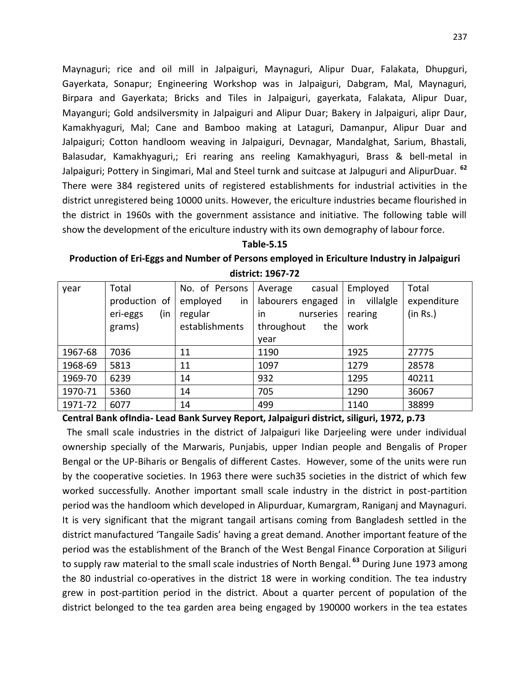Maynaguri; rice and oil mill in Jalpaiguri, Maynaguri, Alipur Duar, Falakata, Dhupguri, Gayerkata, Sonapur; Engineering Workshop was in Jalpaiguri, Dabgram, Mal, Maynaguri, Birpara and Gayerkata; Bricks and Tiles in Jalpaiguri, gayerkata, Falakata, Alipur Duar, Mayanguri; Gold andsilversmity in Jalpaiguri and Alipur Duar; Bakery in Jalpaiguri, alipr Daur, Kamakhyaguri, Mal; Cane and Bamboo making at Lataguri, Damanpur, Alipur Duar and Jalpaiguri; Cotton handloom weaving in Jalpaiguri, Devnagar, Mandalghat, Sarium, Bhastali, Balasudar, Kamakhyaguri,; Eri rearing ans reeling Kamakhyaguri, Brass & bell-metal in Jalpaiguri; Pottery in Singimari, Mal and Steel turnk and suitcase at Jalpuguri and AlipurDuar. **<sup>62</sup>** There were 384 registered units of registered establishments for industrial activities in the district unregistered being 10000 units. However, the ericulture industries became flourished in the district in 1960s with the government assistance and initiative. The following table will show the development of the ericulture industry with its own demography of labour force.

# **Table-5.15**

**Production of Eri-Eggs and Number of Persons employed in Ericulture Industry in Jalpaiguri district: 1967-72**

| year    | Total           | No. of Persons | Average<br>casual | Employed        | Total       |
|---------|-----------------|----------------|-------------------|-----------------|-------------|
|         | production of   | employed<br>in | labourers engaged | villalgle<br>in | expenditure |
|         | (in<br>eri-eggs | regular        | nurseries<br>in.  | rearing         | (in Rs.)    |
|         | grams)          | establishments | throughout<br>the | work            |             |
|         |                 |                | year              |                 |             |
| 1967-68 | 7036            | 11             | 1190              | 1925            | 27775       |
| 1968-69 | 5813            | 11             | 1097              | 1279            | 28578       |
| 1969-70 | 6239            | 14             | 932               | 1295            | 40211       |
| 1970-71 | 5360            | 14             | 705               | 1290            | 36067       |
| 1971-72 | 6077            | 14             | 499               | 1140            | 38899       |

**Central Bank ofIndia- Lead Bank Survey Report, Jalpaiguri district, siliguri, 1972, p.73**

 The small scale industries in the district of Jalpaiguri like Darjeeling were under individual ownership specially of the Marwaris, Punjabis, upper Indian people and Bengalis of Proper Bengal or the UP-Biharis or Bengalis of different Castes. However, some of the units were run by the cooperative societies. In 1963 there were such35 societies in the district of which few worked successfully. Another important small scale industry in the district in post-partition period was the handloom which developed in Alipurduar, Kumargram, Raniganj and Maynaguri. It is very significant that the migrant tangail artisans coming from Bangladesh settled in the district manufactured 'Tangaile Sadis' having a great demand. Another important feature of the period was the establishment of the Branch of the West Bengal Finance Corporation at Siliguri to supply raw material to the small scale industries of North Bengal. **<sup>63</sup>** During June 1973 among the 80 industrial co-operatives in the district 18 were in working condition. The tea industry grew in post-partition period in the district. About a quarter percent of population of the district belonged to the tea garden area being engaged by 190000 workers in the tea estates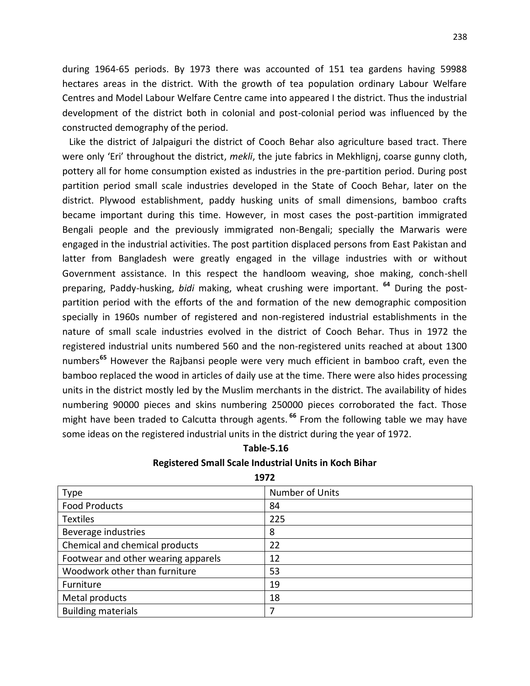during 1964-65 periods. By 1973 there was accounted of 151 tea gardens having 59988 hectares areas in the district. With the growth of tea population ordinary Labour Welfare Centres and Model Labour Welfare Centre came into appeared I the district. Thus the industrial development of the district both in colonial and post-colonial period was influenced by the constructed demography of the period.

 Like the district of Jalpaiguri the district of Cooch Behar also agriculture based tract. There were only 'Eri' throughout the district, *mekli*, the jute fabrics in Mekhlignj, coarse gunny cloth, pottery all for home consumption existed as industries in the pre-partition period. During post partition period small scale industries developed in the State of Cooch Behar, later on the district. Plywood establishment, paddy husking units of small dimensions, bamboo crafts became important during this time. However, in most cases the post-partition immigrated Bengali people and the previously immigrated non-Bengali; specially the Marwaris were engaged in the industrial activities. The post partition displaced persons from East Pakistan and latter from Bangladesh were greatly engaged in the village industries with or without Government assistance. In this respect the handloom weaving, shoe making, conch-shell preparing, Paddy-husking, *bidi* making, wheat crushing were important. **<sup>64</sup>** During the postpartition period with the efforts of the and formation of the new demographic composition specially in 1960s number of registered and non-registered industrial establishments in the nature of small scale industries evolved in the district of Cooch Behar. Thus in 1972 the registered industrial units numbered 560 and the non-registered units reached at about 1300 numbers**<sup>65</sup>** However the Rajbansi people were very much efficient in bamboo craft, even the bamboo replaced the wood in articles of daily use at the time. There were also hides processing units in the district mostly led by the Muslim merchants in the district. The availability of hides numbering 90000 pieces and skins numbering 250000 pieces corroborated the fact. Those might have been traded to Calcutta through agents. **<sup>66</sup>** From the following table we may have some ideas on the registered industrial units in the district during the year of 1972.

| Table-5.16                                                   |  |
|--------------------------------------------------------------|--|
| <b>Registered Small Scale Industrial Units in Koch Bihar</b> |  |

**1972**

| <b>Type</b>                         | Number of Units |
|-------------------------------------|-----------------|
| <b>Food Products</b>                | 84              |
| <b>Textiles</b>                     | 225             |
| Beverage industries                 | 8               |
| Chemical and chemical products      | 22              |
| Footwear and other wearing apparels | 12              |
| Woodwork other than furniture       | 53              |
| Furniture                           | 19              |
| Metal products                      | 18              |
| <b>Building materials</b>           | 7               |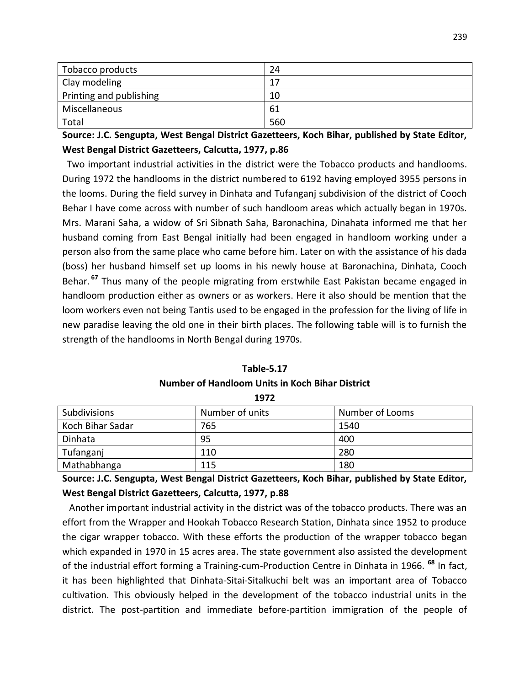| Tobacco products        | 24  |
|-------------------------|-----|
| Clay modeling           | 17  |
| Printing and publishing | 10  |
| Miscellaneous           | 61  |
| Total                   | 560 |

**Source: J.C. Sengupta, West Bengal District Gazetteers, Koch Bihar, published by State Editor, West Bengal District Gazetteers, Calcutta, 1977, p.86**

 Two important industrial activities in the district were the Tobacco products and handlooms. During 1972 the handlooms in the district numbered to 6192 having employed 3955 persons in the looms. During the field survey in Dinhata and Tufanganj subdivision of the district of Cooch Behar I have come across with number of such handloom areas which actually began in 1970s. Mrs. Marani Saha, a widow of Sri Sibnath Saha, Baronachina, Dinahata informed me that her husband coming from East Bengal initially had been engaged in handloom working under a person also from the same place who came before him. Later on with the assistance of his dada (boss) her husband himself set up looms in his newly house at Baronachina, Dinhata, Cooch Behar. **<sup>67</sup>** Thus many of the people migrating from erstwhile East Pakistan became engaged in handloom production either as owners or as workers. Here it also should be mention that the loom workers even not being Tantis used to be engaged in the profession for the living of life in new paradise leaving the old one in their birth places. The following table will is to furnish the strength of the handlooms in North Bengal during 1970s.

| 1972                |                 |                 |  |  |
|---------------------|-----------------|-----------------|--|--|
| <b>Subdivisions</b> | Number of units | Number of Looms |  |  |
| Koch Bihar Sadar    | 765             | 1540            |  |  |
| Dinhata             | 95              | 400             |  |  |
| Tufanganj           | 110             | 280             |  |  |

**Table-5.17 Number of Handloom Units in Koch Bihar District**

**Source: J.C. Sengupta, West Bengal District Gazetteers, Koch Bihar, published by State Editor, West Bengal District Gazetteers, Calcutta, 1977, p.88**

Mathabhanga 115 ann an 180

 Another important industrial activity in the district was of the tobacco products. There was an effort from the Wrapper and Hookah Tobacco Research Station, Dinhata since 1952 to produce the cigar wrapper tobacco. With these efforts the production of the wrapper tobacco began which expanded in 1970 in 15 acres area. The state government also assisted the development of the industrial effort forming a Training-cum-Production Centre in Dinhata in 1966. **<sup>68</sup>** In fact, it has been highlighted that Dinhata-Sitai-Sitalkuchi belt was an important area of Tobacco cultivation. This obviously helped in the development of the tobacco industrial units in the district. The post-partition and immediate before-partition immigration of the people of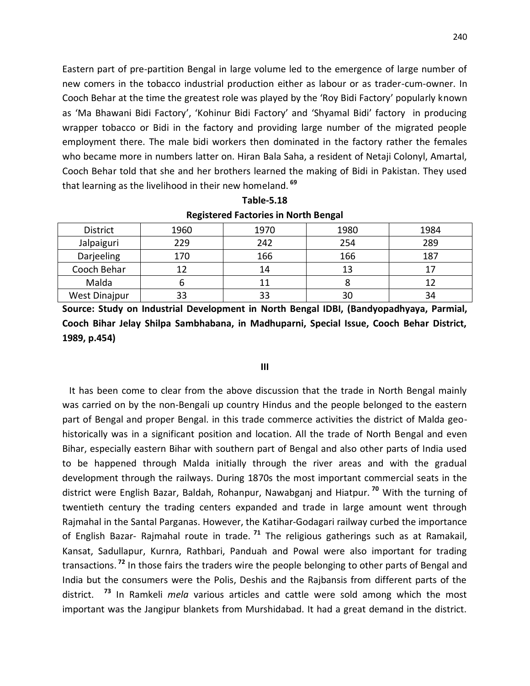Eastern part of pre-partition Bengal in large volume led to the emergence of large number of new comers in the tobacco industrial production either as labour or as trader-cum-owner. In Cooch Behar at the time the greatest role was played by the 'Roy Bidi Factory' popularly known as 'Ma Bhawani Bidi Factory', 'Kohinur Bidi Factory' and 'Shyamal Bidi' factory in producing wrapper tobacco or Bidi in the factory and providing large number of the migrated people employment there. The male bidi workers then dominated in the factory rather the females who became more in numbers latter on. Hiran Bala Saha, a resident of Netaji Colonyl, Amartal, Cooch Behar told that she and her brothers learned the making of Bidi in Pakistan. They used that learning as the livelihood in their new homeland. **<sup>69</sup>**

|                      | _    |      |      |      |
|----------------------|------|------|------|------|
| District             | 1960 | 1970 | 1980 | 1984 |
| Jalpaiguri           | 229  | 242  | 254  | 289  |
| Darjeeling           | 170  | 166  | 166  | 187  |
| Cooch Behar          | 12   | 14   | 13   |      |
| Malda                |      |      |      |      |
| <b>West Dinajpur</b> | 33   |      | 30   | 34   |

**Table-5.18 Registered Factories in North Bengal**

**Source: Study on Industrial Development in North Bengal IDBI, (Bandyopadhyaya, Parmial, Cooch Bihar Jelay Shilpa Sambhabana, in Madhuparni, Special Issue, Cooch Behar District, 1989, p.454)**

#### **III**

 It has been come to clear from the above discussion that the trade in North Bengal mainly was carried on by the non-Bengali up country Hindus and the people belonged to the eastern part of Bengal and proper Bengal. in this trade commerce activities the district of Malda geohistorically was in a significant position and location. All the trade of North Bengal and even Bihar, especially eastern Bihar with southern part of Bengal and also other parts of India used to be happened through Malda initially through the river areas and with the gradual development through the railways. During 1870s the most important commercial seats in the district were English Bazar, Baldah, Rohanpur, Nawabganj and Hiatpur. **<sup>70</sup>** With the turning of twentieth century the trading centers expanded and trade in large amount went through Rajmahal in the Santal Parganas. However, the Katihar-Godagari railway curbed the importance of English Bazar- Rajmahal route in trade. **<sup>71</sup>** The religious gatherings such as at Ramakail, Kansat, Sadullapur, Kurnra, Rathbari, Panduah and Powal were also important for trading transactions. **<sup>72</sup>** In those fairs the traders wire the people belonging to other parts of Bengal and India but the consumers were the Polis, Deshis and the Rajbansis from different parts of the district. **<sup>73</sup>** In Ramkeli *mela* various articles and cattle were sold among which the most important was the Jangipur blankets from Murshidabad. It had a great demand in the district.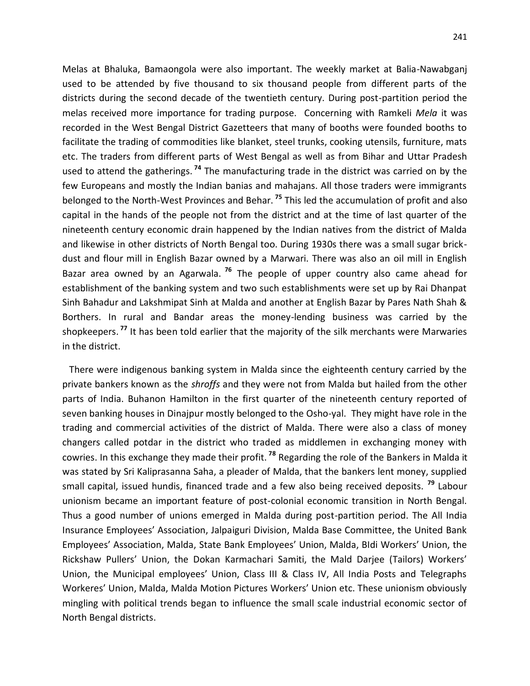Melas at Bhaluka, Bamaongola were also important. The weekly market at Balia-Nawabganj used to be attended by five thousand to six thousand people from different parts of the districts during the second decade of the twentieth century. During post-partition period the melas received more importance for trading purpose. Concerning with Ramkeli *Mela* it was recorded in the West Bengal District Gazetteers that many of booths were founded booths to facilitate the trading of commodities like blanket, steel trunks, cooking utensils, furniture, mats etc. The traders from different parts of West Bengal as well as from Bihar and Uttar Pradesh used to attend the gatherings. **<sup>74</sup>** The manufacturing trade in the district was carried on by the few Europeans and mostly the Indian banias and mahajans. All those traders were immigrants belonged to the North-West Provinces and Behar. **<sup>75</sup>** This led the accumulation of profit and also capital in the hands of the people not from the district and at the time of last quarter of the nineteenth century economic drain happened by the Indian natives from the district of Malda and likewise in other districts of North Bengal too. During 1930s there was a small sugar brickdust and flour mill in English Bazar owned by a Marwari. There was also an oil mill in English Bazar area owned by an Agarwala. **<sup>76</sup>** The people of upper country also came ahead for establishment of the banking system and two such establishments were set up by Rai Dhanpat Sinh Bahadur and Lakshmipat Sinh at Malda and another at English Bazar by Pares Nath Shah & Borthers. In rural and Bandar areas the money-lending business was carried by the shopkeepers. **<sup>77</sup>** It has been told earlier that the majority of the silk merchants were Marwaries in the district.

 There were indigenous banking system in Malda since the eighteenth century carried by the private bankers known as the *shroffs* and they were not from Malda but hailed from the other parts of India. Buhanon Hamilton in the first quarter of the nineteenth century reported of seven banking houses in Dinajpur mostly belonged to the Osho-yal. They might have role in the trading and commercial activities of the district of Malda. There were also a class of money changers called potdar in the district who traded as middlemen in exchanging money with cowries. In this exchange they made their profit. **<sup>78</sup>** Regarding the role of the Bankers in Malda it was stated by Sri Kaliprasanna Saha, a pleader of Malda, that the bankers lent money, supplied small capital, issued hundis, financed trade and a few also being received deposits. **<sup>79</sup>** Labour unionism became an important feature of post-colonial economic transition in North Bengal. Thus a good number of unions emerged in Malda during post-partition period. The All India Insurance Employees' Association, Jalpaiguri Division, Malda Base Committee, the United Bank Employees' Association, Malda, State Bank Employees' Union, Malda, BIdi Workers' Union, the Rickshaw Pullers' Union, the Dokan Karmachari Samiti, the Mald Darjee (Tailors) Workers' Union, the Municipal employees' Union, Class III & Class IV, All India Posts and Telegraphs Workeres' Union, Malda, Malda Motion Pictures Workers' Union etc. These unionism obviously mingling with political trends began to influence the small scale industrial economic sector of North Bengal districts.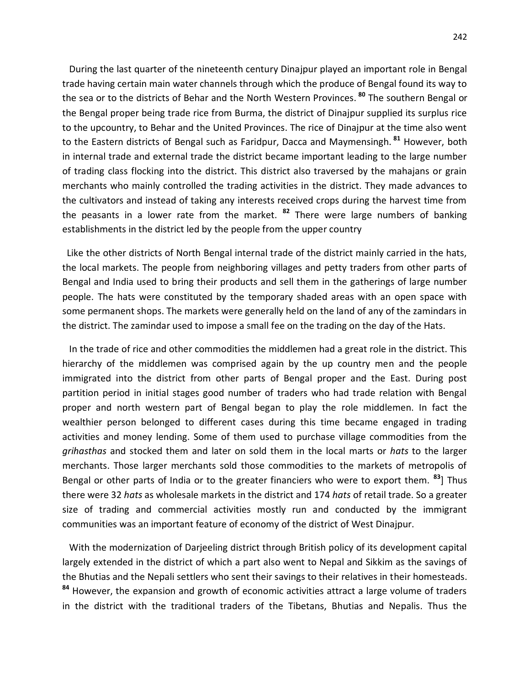During the last quarter of the nineteenth century Dinajpur played an important role in Bengal trade having certain main water channels through which the produce of Bengal found its way to the sea or to the districts of Behar and the North Western Provinces. **<sup>80</sup>** The southern Bengal or the Bengal proper being trade rice from Burma, the district of Dinajpur supplied its surplus rice to the upcountry, to Behar and the United Provinces. The rice of Dinajpur at the time also went to the Eastern districts of Bengal such as Faridpur, Dacca and Maymensingh. **<sup>81</sup>** However, both in internal trade and external trade the district became important leading to the large number of trading class flocking into the district. This district also traversed by the mahajans or grain merchants who mainly controlled the trading activities in the district. They made advances to the cultivators and instead of taking any interests received crops during the harvest time from the peasants in a lower rate from the market. **<sup>82</sup>** There were large numbers of banking establishments in the district led by the people from the upper country

 Like the other districts of North Bengal internal trade of the district mainly carried in the hats, the local markets. The people from neighboring villages and petty traders from other parts of Bengal and India used to bring their products and sell them in the gatherings of large number people. The hats were constituted by the temporary shaded areas with an open space with some permanent shops. The markets were generally held on the land of any of the zamindars in the district. The zamindar used to impose a small fee on the trading on the day of the Hats.

 In the trade of rice and other commodities the middlemen had a great role in the district. This hierarchy of the middlemen was comprised again by the up country men and the people immigrated into the district from other parts of Bengal proper and the East. During post partition period in initial stages good number of traders who had trade relation with Bengal proper and north western part of Bengal began to play the role middlemen. In fact the wealthier person belonged to different cases during this time became engaged in trading activities and money lending. Some of them used to purchase village commodities from the *grihasthas* and stocked them and later on sold them in the local marts or *hats* to the larger merchants. Those larger merchants sold those commodities to the markets of metropolis of Bengal or other parts of India or to the greater financiers who were to export them. **<sup>83</sup>**] Thus there were 32 *hats* as wholesale markets in the district and 174 *hats* of retail trade. So a greater size of trading and commercial activities mostly run and conducted by the immigrant communities was an important feature of economy of the district of West Dinajpur.

 With the modernization of Darjeeling district through British policy of its development capital largely extended in the district of which a part also went to Nepal and Sikkim as the savings of the Bhutias and the Nepali settlers who sent their savings to their relatives in their homesteads. **<sup>84</sup>** However, the expansion and growth of economic activities attract a large volume of traders in the district with the traditional traders of the Tibetans, Bhutias and Nepalis. Thus the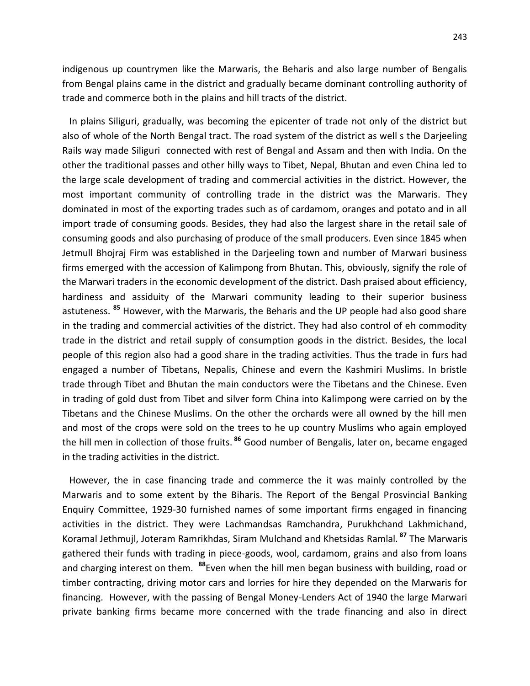indigenous up countrymen like the Marwaris, the Beharis and also large number of Bengalis from Bengal plains came in the district and gradually became dominant controlling authority of trade and commerce both in the plains and hill tracts of the district.

 In plains Siliguri, gradually, was becoming the epicenter of trade not only of the district but also of whole of the North Bengal tract. The road system of the district as well s the Darjeeling Rails way made Siliguri connected with rest of Bengal and Assam and then with India. On the other the traditional passes and other hilly ways to Tibet, Nepal, Bhutan and even China led to the large scale development of trading and commercial activities in the district. However, the most important community of controlling trade in the district was the Marwaris. They dominated in most of the exporting trades such as of cardamom, oranges and potato and in all import trade of consuming goods. Besides, they had also the largest share in the retail sale of consuming goods and also purchasing of produce of the small producers. Even since 1845 when Jetmull Bhojraj Firm was established in the Darjeeling town and number of Marwari business firms emerged with the accession of Kalimpong from Bhutan. This, obviously, signify the role of the Marwari traders in the economic development of the district. Dash praised about efficiency, hardiness and assiduity of the Marwari community leading to their superior business astuteness. **<sup>85</sup>** However, with the Marwaris, the Beharis and the UP people had also good share in the trading and commercial activities of the district. They had also control of eh commodity trade in the district and retail supply of consumption goods in the district. Besides, the local people of this region also had a good share in the trading activities. Thus the trade in furs had engaged a number of Tibetans, Nepalis, Chinese and evern the Kashmiri Muslims. In bristle trade through Tibet and Bhutan the main conductors were the Tibetans and the Chinese. Even in trading of gold dust from Tibet and silver form China into Kalimpong were carried on by the Tibetans and the Chinese Muslims. On the other the orchards were all owned by the hill men and most of the crops were sold on the trees to he up country Muslims who again employed the hill men in collection of those fruits. **<sup>86</sup>** Good number of Bengalis, later on, became engaged in the trading activities in the district.

 However, the in case financing trade and commerce the it was mainly controlled by the Marwaris and to some extent by the Biharis. The Report of the Bengal Prosvincial Banking Enquiry Committee, 1929-30 furnished names of some important firms engaged in financing activities in the district. They were Lachmandsas Ramchandra, Purukhchand Lakhmichand, Koramal Jethmujl, Joteram Ramrikhdas, Siram Mulchand and Khetsidas Ramlal. **<sup>87</sup>** The Marwaris gathered their funds with trading in piece-goods, wool, cardamom, grains and also from loans and charging interest on them. **<sup>88</sup>**Even when the hill men began business with building, road or timber contracting, driving motor cars and lorries for hire they depended on the Marwaris for financing. However, with the passing of Bengal Money-Lenders Act of 1940 the large Marwari private banking firms became more concerned with the trade financing and also in direct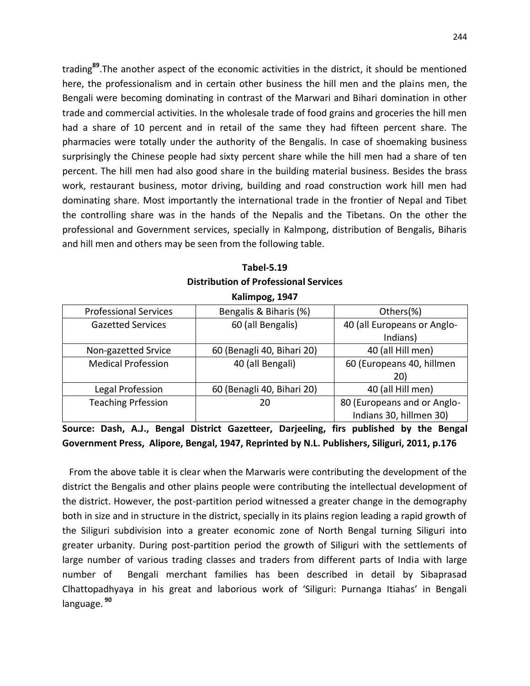trading**<sup>89</sup>**.The another aspect of the economic activities in the district, it should be mentioned here, the professionalism and in certain other business the hill men and the plains men, the Bengali were becoming dominating in contrast of the Marwari and Bihari domination in other trade and commercial activities. In the wholesale trade of food grains and groceries the hill men had a share of 10 percent and in retail of the same they had fifteen percent share. The pharmacies were totally under the authority of the Bengalis. In case of shoemaking business surprisingly the Chinese people had sixty percent share while the hill men had a share of ten percent. The hill men had also good share in the building material business. Besides the brass work, restaurant business, motor driving, building and road construction work hill men had dominating share. Most importantly the international trade in the frontier of Nepal and Tibet the controlling share was in the hands of the Nepalis and the Tibetans. On the other the professional and Government services, specially in Kalmpong, distribution of Bengalis, Biharis and hill men and others may be seen from the following table.

|                                              | <b>Tabel-5.19</b> |  |
|----------------------------------------------|-------------------|--|
| <b>Distribution of Professional Services</b> |                   |  |
|                                              |                   |  |

| Kalimpog, 1947 |  |
|----------------|--|
|----------------|--|

| <b>Professional Services</b> | Bengalis & Biharis (%)     | Others(%)                   |
|------------------------------|----------------------------|-----------------------------|
| <b>Gazetted Services</b>     | 60 (all Bengalis)          | 40 (all Europeans or Anglo- |
|                              |                            | Indians)                    |
| Non-gazetted Srvice          | 60 (Benagli 40, Bihari 20) | 40 (all Hill men)           |
| <b>Medical Profession</b>    | 40 (all Bengali)           | 60 (Europeans 40, hillmen   |
|                              |                            | 20)                         |
| Legal Profession             | 60 (Benagli 40, Bihari 20) | 40 (all Hill men)           |
| <b>Teaching Prfession</b>    | 20                         | 80 (Europeans and or Anglo- |
|                              |                            | Indians 30, hillmen 30)     |

**Source: Dash, A.J., Bengal District Gazetteer, Darjeeling, firs published by the Bengal Government Press, Alipore, Bengal, 1947, Reprinted by N.L. Publishers, Siliguri, 2011, p.176**

 From the above table it is clear when the Marwaris were contributing the development of the district the Bengalis and other plains people were contributing the intellectual development of the district. However, the post-partition period witnessed a greater change in the demography both in size and in structure in the district, specially in its plains region leading a rapid growth of the Siliguri subdivision into a greater economic zone of North Bengal turning Siliguri into greater urbanity. During post-partition period the growth of Siliguri with the settlements of large number of various trading classes and traders from different parts of India with large number of Bengali merchant families has been described in detail by Sibaprasad Clhattopadhyaya in his great and laborious work of 'Siliguri: Purnanga Itiahas' in Bengali language. **<sup>90</sup>**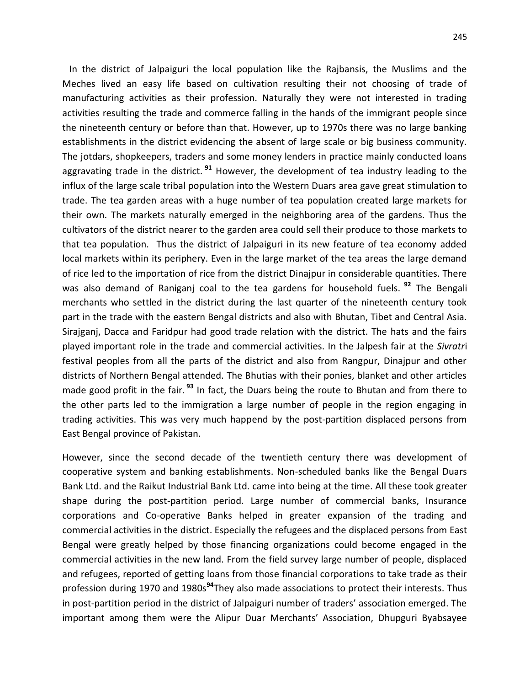In the district of Jalpaiguri the local population like the Rajbansis, the Muslims and the Meches lived an easy life based on cultivation resulting their not choosing of trade of manufacturing activities as their profession. Naturally they were not interested in trading activities resulting the trade and commerce falling in the hands of the immigrant people since the nineteenth century or before than that. However, up to 1970s there was no large banking establishments in the district evidencing the absent of large scale or big business community. The jotdars, shopkeepers, traders and some money lenders in practice mainly conducted loans aggravating trade in the district. **<sup>91</sup>** However, the development of tea industry leading to the influx of the large scale tribal population into the Western Duars area gave great stimulation to trade. The tea garden areas with a huge number of tea population created large markets for their own. The markets naturally emerged in the neighboring area of the gardens. Thus the cultivators of the district nearer to the garden area could sell their produce to those markets to that tea population. Thus the district of Jalpaiguri in its new feature of tea economy added local markets within its periphery. Even in the large market of the tea areas the large demand of rice led to the importation of rice from the district Dinajpur in considerable quantities. There was also demand of Raniganj coal to the tea gardens for household fuels. **<sup>92</sup>** The Bengali merchants who settled in the district during the last quarter of the nineteenth century took part in the trade with the eastern Bengal districts and also with Bhutan, Tibet and Central Asia. Sirajganj, Dacca and Faridpur had good trade relation with the district. The hats and the fairs played important role in the trade and commercial activities. In the Jalpesh fair at the *Sivratr*i festival peoples from all the parts of the district and also from Rangpur, Dinajpur and other districts of Northern Bengal attended. The Bhutias with their ponies, blanket and other articles made good profit in the fair. **<sup>93</sup>** In fact, the Duars being the route to Bhutan and from there to the other parts led to the immigration a large number of people in the region engaging in trading activities. This was very much happend by the post-partition displaced persons from East Bengal province of Pakistan.

However, since the second decade of the twentieth century there was development of cooperative system and banking establishments. Non-scheduled banks like the Bengal Duars Bank Ltd. and the Raikut Industrial Bank Ltd. came into being at the time. All these took greater shape during the post-partition period. Large number of commercial banks, Insurance corporations and Co-operative Banks helped in greater expansion of the trading and commercial activities in the district. Especially the refugees and the displaced persons from East Bengal were greatly helped by those financing organizations could become engaged in the commercial activities in the new land. From the field survey large number of people, displaced and refugees, reported of getting loans from those financial corporations to take trade as their profession during 1970 and 1980s**<sup>94</sup>**They also made associations to protect their interests. Thus in post-partition period in the district of Jalpaiguri number of traders' association emerged. The important among them were the Alipur Duar Merchants' Association, Dhupguri Byabsayee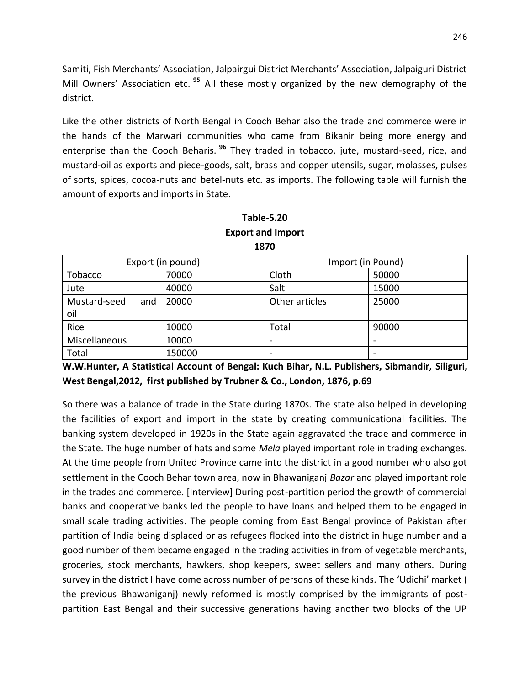Samiti, Fish Merchants' Association, Jalpairgui District Merchants' Association, Jalpaiguri District Mill Owners' Association etc. **<sup>95</sup>** All these mostly organized by the new demography of the district.

Like the other districts of North Bengal in Cooch Behar also the trade and commerce were in the hands of the Marwari communities who came from Bikanir being more energy and enterprise than the Cooch Beharis. **<sup>96</sup>** They traded in tobacco, jute, mustard-seed, rice, and mustard-oil as exports and piece-goods, salt, brass and copper utensils, sugar, molasses, pulses of sorts, spices, cocoa-nuts and betel-nuts etc. as imports. The following table will furnish the amount of exports and imports in State.

| 1870                |                   |                   |       |  |  |
|---------------------|-------------------|-------------------|-------|--|--|
|                     | Export (in pound) | Import (in Pound) |       |  |  |
| Tobacco             | 70000             | Cloth             | 50000 |  |  |
| Jute                | 40000             | Salt              | 15000 |  |  |
| Mustard-seed<br>and | 20000             | Other articles    | 25000 |  |  |
| oil                 |                   |                   |       |  |  |
| Rice                | 10000             | Total             | 90000 |  |  |
| Miscellaneous       | 10000             |                   |       |  |  |
| Total               | 150000            |                   | -     |  |  |

### **Table-5.20 Export and Import**

**W.W.Hunter, A Statistical Account of Bengal: Kuch Bihar, N.L. Publishers, Sibmandir, Siliguri, West Bengal,2012, first published by Trubner & Co., London, 1876, p.69**

So there was a balance of trade in the State during 1870s. The state also helped in developing the facilities of export and import in the state by creating communicational facilities. The banking system developed in 1920s in the State again aggravated the trade and commerce in the State. The huge number of hats and some *Mela* played important role in trading exchanges. At the time people from United Province came into the district in a good number who also got settlement in the Cooch Behar town area, now in Bhawaniganj *Bazar* and played important role in the trades and commerce. [Interview] During post-partition period the growth of commercial banks and cooperative banks led the people to have loans and helped them to be engaged in small scale trading activities. The people coming from East Bengal province of Pakistan after partition of India being displaced or as refugees flocked into the district in huge number and a good number of them became engaged in the trading activities in from of vegetable merchants, groceries, stock merchants, hawkers, shop keepers, sweet sellers and many others. During survey in the district I have come across number of persons of these kinds. The 'Udichi' market ( the previous Bhawaniganj) newly reformed is mostly comprised by the immigrants of postpartition East Bengal and their successive generations having another two blocks of the UP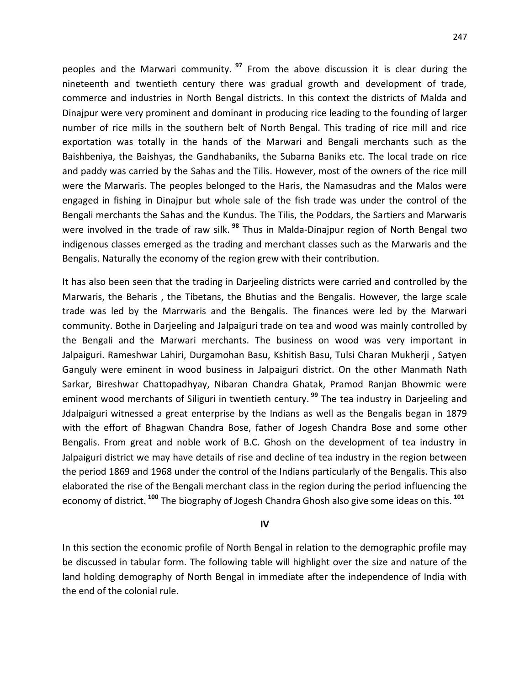peoples and the Marwari community. **<sup>97</sup>** From the above discussion it is clear during the nineteenth and twentieth century there was gradual growth and development of trade, commerce and industries in North Bengal districts. In this context the districts of Malda and Dinajpur were very prominent and dominant in producing rice leading to the founding of larger number of rice mills in the southern belt of North Bengal. This trading of rice mill and rice exportation was totally in the hands of the Marwari and Bengali merchants such as the Baishbeniya, the Baishyas, the Gandhabaniks, the Subarna Baniks etc. The local trade on rice and paddy was carried by the Sahas and the Tilis. However, most of the owners of the rice mill were the Marwaris. The peoples belonged to the Haris, the Namasudras and the Malos were engaged in fishing in Dinajpur but whole sale of the fish trade was under the control of the Bengali merchants the Sahas and the Kundus. The Tilis, the Poddars, the Sartiers and Marwaris were involved in the trade of raw silk. **<sup>98</sup>** Thus in Malda-Dinajpur region of North Bengal two indigenous classes emerged as the trading and merchant classes such as the Marwaris and the Bengalis. Naturally the economy of the region grew with their contribution.

It has also been seen that the trading in Darjeeling districts were carried and controlled by the Marwaris, the Beharis , the Tibetans, the Bhutias and the Bengalis. However, the large scale trade was led by the Marrwaris and the Bengalis. The finances were led by the Marwari community. Bothe in Darjeeling and Jalpaiguri trade on tea and wood was mainly controlled by the Bengali and the Marwari merchants. The business on wood was very important in Jalpaiguri. Rameshwar Lahiri, Durgamohan Basu, Kshitish Basu, Tulsi Charan Mukherji , Satyen Ganguly were eminent in wood business in Jalpaiguri district. On the other Manmath Nath Sarkar, Bireshwar Chattopadhyay, Nibaran Chandra Ghatak, Pramod Ranjan Bhowmic were eminent wood merchants of Siliguri in twentieth century. **<sup>99</sup>** The tea industry in Darjeeling and Jdalpaiguri witnessed a great enterprise by the Indians as well as the Bengalis began in 1879 with the effort of Bhagwan Chandra Bose, father of Jogesh Chandra Bose and some other Bengalis. From great and noble work of B.C. Ghosh on the development of tea industry in Jalpaiguri district we may have details of rise and decline of tea industry in the region between the period 1869 and 1968 under the control of the Indians particularly of the Bengalis. This also elaborated the rise of the Bengali merchant class in the region during the period influencing the economy of district. **<sup>100</sup>** The biography of Jogesh Chandra Ghosh also give some ideas on this. **<sup>101</sup>**

#### **IV**

In this section the economic profile of North Bengal in relation to the demographic profile may be discussed in tabular form. The following table will highlight over the size and nature of the land holding demography of North Bengal in immediate after the independence of India with the end of the colonial rule.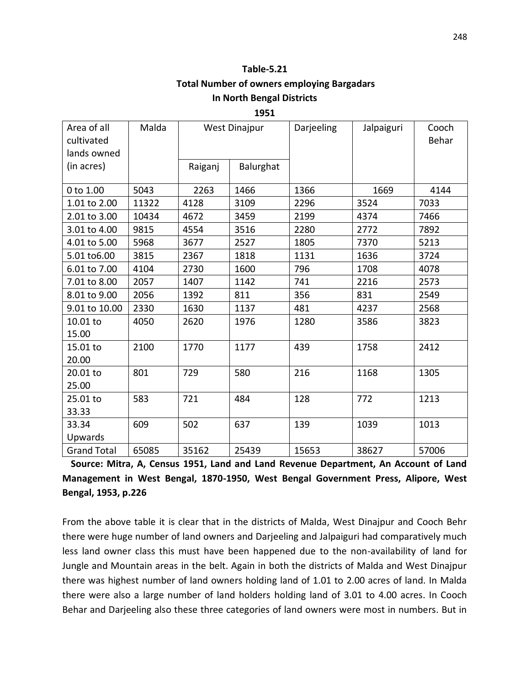### **Table-5.21**

### **Total Number of owners employing Bargadars In North Bengal Districts**

**1951**

| Area of all<br>cultivated<br>lands owned | Malda | <b>West Dinajpur</b> |           | Darjeeling | Jalpaiguri | Cooch<br>Behar |
|------------------------------------------|-------|----------------------|-----------|------------|------------|----------------|
| (in acres)                               |       | Raiganj              | Balurghat |            |            |                |
| 0 to 1.00                                | 5043  | 2263                 | 1466      | 1366       | 1669       | 4144           |
| 1.01 to 2.00                             | 11322 | 4128                 | 3109      | 2296       | 3524       | 7033           |
| 2.01 to 3.00                             | 10434 | 4672                 | 3459      | 2199       | 4374       | 7466           |
| 3.01 to 4.00                             | 9815  | 4554                 | 3516      | 2280       | 2772       | 7892           |
| 4.01 to 5.00                             | 5968  | 3677                 | 2527      | 1805       | 7370       | 5213           |
| 5.01 to 6.00                             | 3815  | 2367                 | 1818      | 1131       | 1636       | 3724           |
| 6.01 to 7.00                             | 4104  | 2730                 | 1600      | 796        | 1708       | 4078           |
| 7.01 to 8.00                             | 2057  | 1407                 | 1142      | 741        | 2216       | 2573           |
| 8.01 to 9.00                             | 2056  | 1392                 | 811       | 356        | 831        | 2549           |
| 9.01 to 10.00                            | 2330  | 1630                 | 1137      | 481        | 4237       | 2568           |
| 10.01 to<br>15.00                        | 4050  | 2620                 | 1976      | 1280       | 3586       | 3823           |
| 15.01 to<br>20.00                        | 2100  | 1770                 | 1177      | 439        | 1758       | 2412           |
| 20.01 to<br>25.00                        | 801   | 729                  | 580       | 216        | 1168       | 1305           |
| 25.01 to<br>33.33                        | 583   | 721                  | 484       | 128        | 772        | 1213           |
| 33.34<br>Upwards                         | 609   | 502                  | 637       | 139        | 1039       | 1013           |
| <b>Grand Total</b>                       | 65085 | 35162                | 25439     | 15653      | 38627      | 57006          |

**Source: Mitra, A, Census 1951, Land and Land Revenue Department, An Account of Land Management in West Bengal, 1870-1950, West Bengal Government Press, Alipore, West Bengal, 1953, p.226** 

From the above table it is clear that in the districts of Malda, West Dinajpur and Cooch Behr there were huge number of land owners and Darjeeling and Jalpaiguri had comparatively much less land owner class this must have been happened due to the non-availability of land for Jungle and Mountain areas in the belt. Again in both the districts of Malda and West Dinajpur there was highest number of land owners holding land of 1.01 to 2.00 acres of land. In Malda there were also a large number of land holders holding land of 3.01 to 4.00 acres. In Cooch Behar and Darjeeling also these three categories of land owners were most in numbers. But in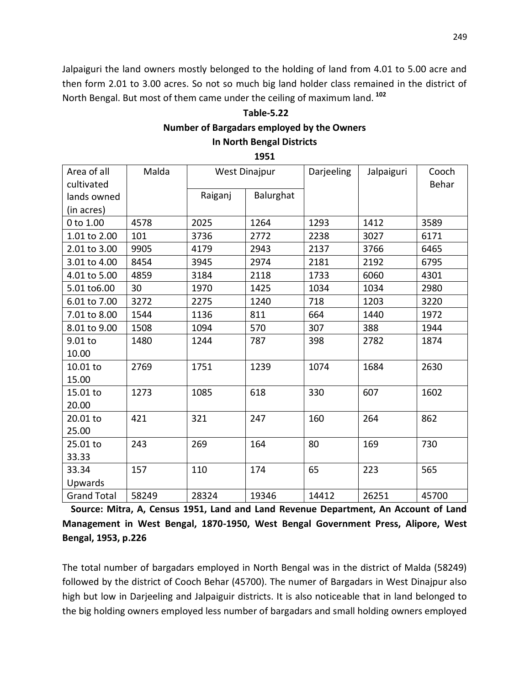Jalpaiguri the land owners mostly belonged to the holding of land from 4.01 to 5.00 acre and then form 2.01 to 3.00 acres. So not so much big land holder class remained in the district of North Bengal. But most of them came under the ceiling of maximum land. **<sup>102</sup>**

### **Table-5.22 Number of Bargadars employed by the Owners In North Bengal Districts**

**1951**

| Area of all<br>cultivated | Malda | <b>West Dinajpur</b> |           | Darjeeling | Jalpaiguri | Cooch<br>Behar |
|---------------------------|-------|----------------------|-----------|------------|------------|----------------|
| lands owned               |       | Raiganj              | Balurghat |            |            |                |
| (in acres)                |       |                      |           |            |            |                |
| 0 to 1.00                 | 4578  | 2025                 | 1264      | 1293       | 1412       | 3589           |
| 1.01 to 2.00              | 101   | 3736                 | 2772      | 2238       | 3027       | 6171           |
| 2.01 to 3.00              | 9905  | 4179                 | 2943      | 2137       | 3766       | 6465           |
| 3.01 to 4.00              | 8454  | 3945                 | 2974      | 2181       | 2192       | 6795           |
| 4.01 to 5.00              | 4859  | 3184                 | 2118      | 1733       | 6060       | 4301           |
| 5.01 to6.00               | 30    | 1970                 | 1425      | 1034       | 1034       | 2980           |
| 6.01 to 7.00              | 3272  | 2275                 | 1240      | 718        | 1203       | 3220           |
| 7.01 to 8.00              | 1544  | 1136                 | 811       | 664        | 1440       | 1972           |
| 8.01 to 9.00              | 1508  | 1094                 | 570       | 307        | 388        | 1944           |
| $9.01$ to                 | 1480  | 1244                 | 787       | 398        | 2782       | 1874           |
| 10.00                     |       |                      |           |            |            |                |
| 10.01 to                  | 2769  | 1751                 | 1239      | 1074       | 1684       | 2630           |
| 15.00                     |       |                      |           |            |            |                |
| 15.01 to                  | 1273  | 1085                 | 618       | 330        | 607        | 1602           |
| 20.00                     |       |                      |           |            |            |                |
| 20.01 to                  | 421   | 321                  | 247       | 160        | 264        | 862            |
| 25.00                     |       |                      |           |            |            |                |
| 25.01 to                  | 243   | 269                  | 164       | 80         | 169        | 730            |
| 33.33                     |       |                      |           |            |            |                |
| 33.34                     | 157   | 110                  | 174       | 65         | 223        | 565            |
| Upwards                   |       |                      |           |            |            |                |
| <b>Grand Total</b>        | 58249 | 28324                | 19346     | 14412      | 26251      | 45700          |

**Source: Mitra, A, Census 1951, Land and Land Revenue Department, An Account of Land Management in West Bengal, 1870-1950, West Bengal Government Press, Alipore, West Bengal, 1953, p.226**

The total number of bargadars employed in North Bengal was in the district of Malda (58249) followed by the district of Cooch Behar (45700). The numer of Bargadars in West Dinajpur also high but low in Darjeeling and Jalpaiguir districts. It is also noticeable that in land belonged to the big holding owners employed less number of bargadars and small holding owners employed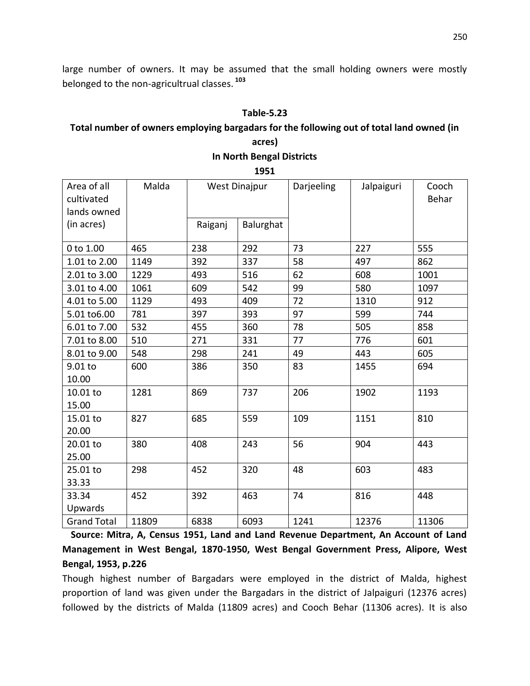large number of owners. It may be assumed that the small holding owners were mostly belonged to the non-agricultrual classes. **<sup>103</sup>**

#### **Table-5.23**

### **Total number of owners employing bargadars for the following out of total land owned (in**

# **acres) In North Bengal Districts**

**1951**

| Area of all<br>cultivated<br>lands owned | Malda | <b>West Dinajpur</b> |           | Darjeeling | Jalpaiguri | Cooch<br>Behar |
|------------------------------------------|-------|----------------------|-----------|------------|------------|----------------|
| (in acres)                               |       | Raiganj              | Balurghat |            |            |                |
| 0 to 1.00                                | 465   | 238                  | 292       | 73         | 227        | 555            |
| 1.01 to 2.00                             | 1149  | 392                  | 337       | 58         | 497        | 862            |
| 2.01 to 3.00                             | 1229  | 493                  | 516       | 62         | 608        | 1001           |
| 3.01 to 4.00                             | 1061  | 609                  | 542       | 99         | 580        | 1097           |
| 4.01 to 5.00                             | 1129  | 493                  | 409       | 72         | 1310       | 912            |
| 5.01 to6.00                              | 781   | 397                  | 393       | 97         | 599        | 744            |
| 6.01 to 7.00                             | 532   | 455                  | 360       | 78         | 505        | 858            |
| 7.01 to 8.00                             | 510   | 271                  | 331       | 77         | 776        | 601            |
| 8.01 to 9.00                             | 548   | 298                  | 241       | 49         | 443        | 605            |
| 9.01 to                                  | 600   | 386                  | 350       | 83         | 1455       | 694            |
| 10.00                                    |       |                      |           |            |            |                |
| 10.01 to                                 | 1281  | 869                  | 737       | 206        | 1902       | 1193           |
| 15.00                                    |       |                      |           |            |            |                |
| 15.01 to                                 | 827   | 685                  | 559       | 109        | 1151       | 810            |
| 20.00                                    |       |                      |           |            |            |                |
| 20.01 to                                 | 380   | 408                  | 243       | 56         | 904        | 443            |
| 25.00                                    |       |                      |           |            |            |                |
| 25.01 to                                 | 298   | 452                  | 320       | 48         | 603        | 483            |
| 33.33                                    |       |                      |           |            |            |                |
| 33.34                                    | 452   | 392                  | 463       | 74         | 816        | 448            |
| Upwards                                  |       |                      |           |            |            |                |
| <b>Grand Total</b>                       | 11809 | 6838                 | 6093      | 1241       | 12376      | 11306          |

**Source: Mitra, A, Census 1951, Land and Land Revenue Department, An Account of Land Management in West Bengal, 1870-1950, West Bengal Government Press, Alipore, West Bengal, 1953, p.226**

Though highest number of Bargadars were employed in the district of Malda, highest proportion of land was given under the Bargadars in the district of Jalpaiguri (12376 acres) followed by the districts of Malda (11809 acres) and Cooch Behar (11306 acres). It is also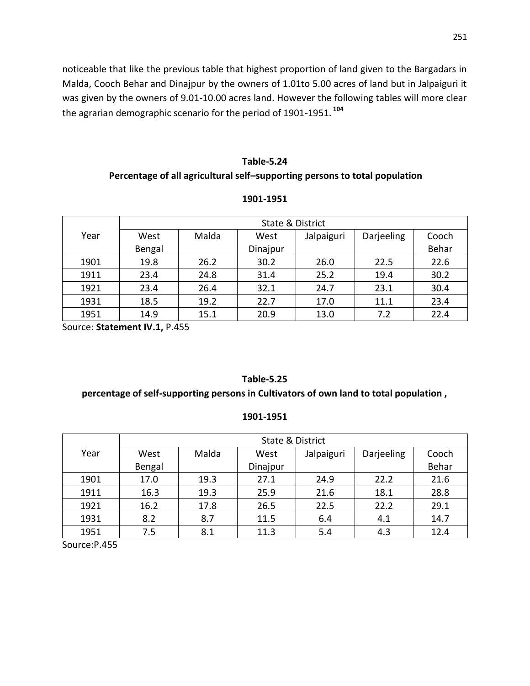noticeable that like the previous table that highest proportion of land given to the Bargadars in Malda, Cooch Behar and Dinajpur by the owners of 1.01to 5.00 acres of land but in Jalpaiguri it was given by the owners of 9.01-10.00 acres land. However the following tables will more clear the agrarian demographic scenario for the period of 1901-1951. **<sup>104</sup>**

### **Table-5.24 Percentage of all agricultural self–supporting persons to total population**

|      |        | State & District |          |            |            |       |  |  |
|------|--------|------------------|----------|------------|------------|-------|--|--|
| Year | West   | Malda            | West     | Jalpaiguri | Darjeeling | Cooch |  |  |
|      | Bengal |                  | Dinajpur |            |            | Behar |  |  |
| 1901 | 19.8   | 26.2             | 30.2     | 26.0       | 22.5       | 22.6  |  |  |
| 1911 | 23.4   | 24.8             | 31.4     | 25.2       | 19.4       | 30.2  |  |  |
| 1921 | 23.4   | 26.4             | 32.1     | 24.7       | 23.1       | 30.4  |  |  |
| 1931 | 18.5   | 19.2             | 22.7     | 17.0       | 11.1       | 23.4  |  |  |
| 1951 | 14.9   | 15.1             | 20.9     | 13.0       | 7.2        | 22.4  |  |  |

#### **1901-1951**

Source: **Statement IV.1,** P.455

#### **Table-5.25**

#### **percentage of self-supporting persons in Cultivators of own land to total population ,**

#### **1901-1951**

|      | <b>State &amp; District</b> |       |          |            |            |       |  |  |
|------|-----------------------------|-------|----------|------------|------------|-------|--|--|
| Year | West                        | Malda | West     | Jalpaiguri | Darjeeling | Cooch |  |  |
|      | Bengal                      |       | Dinajpur |            |            | Behar |  |  |
| 1901 | 17.0                        | 19.3  | 27.1     | 24.9       | 22.2       | 21.6  |  |  |
| 1911 | 16.3                        | 19.3  | 25.9     | 21.6       | 18.1       | 28.8  |  |  |
| 1921 | 16.2                        | 17.8  | 26.5     | 22.5       | 22.2       | 29.1  |  |  |
| 1931 | 8.2                         | 8.7   | 11.5     | 6.4        | 4.1        | 14.7  |  |  |
| 1951 | 7.5                         | 8.1   | 11.3     | 5.4        | 4.3        | 12.4  |  |  |

Source:P.455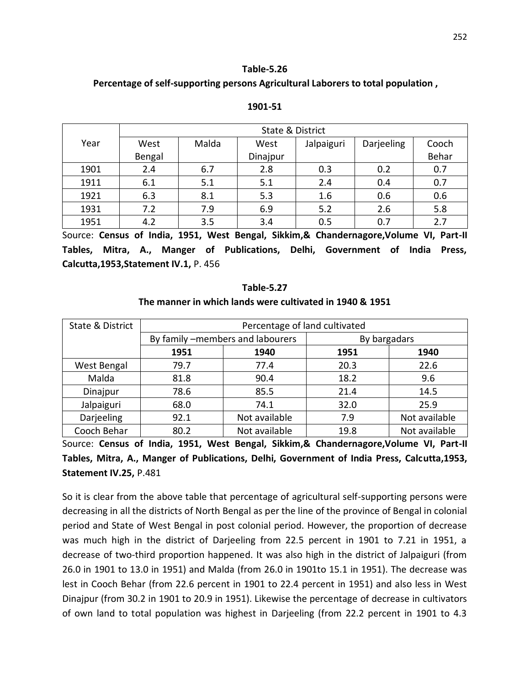#### **Table-5.26**

#### **Percentage of self-supporting persons Agricultural Laborers to total population ,**

|                         |        |                     | State & District |                                  |            |         |
|-------------------------|--------|---------------------|------------------|----------------------------------|------------|---------|
| Year                    | West   | Malda               | West             | Jalpaiguri                       | Darjeeling | Cooch   |
|                         | Bengal |                     | Dinajpur         |                                  |            | Behar   |
| 1901                    | 2.4    | 6.7                 | 2.8              | 0.3                              | 0.2        | 0.7     |
| 1911                    | 6.1    | 5.1                 | 5.1              | 2.4                              | 0.4        | 0.7     |
| 1921                    | 6.3    | 8.1                 | 5.3              | 1.6                              | 0.6        | 0.6     |
| 1931                    | 7.2    | 7.9                 | 6.9              | 5.2                              | 2.6        | 5.8     |
| 1951                    | 4.2    | 3.5                 | 3.4              | 0.5                              | 0.7        | 2.7     |
| SOUTCA: CANSUS of India |        | 1951<br>Mast Rengal |                  | Sikkim & Chandernagore Volume VI |            | Part.II |

#### **1901-51**

Source: **Census of India, 1951, West Bengal, Sikkim,& Chandernagore,Volume VI, Part-II Tables, Mitra, A., Manger of Publications, Delhi, Government of India Press, Calcutta,1953,Statement IV.1,** P. 456

#### **Table-5.27**

#### **The manner in which lands were cultivated in 1940 & 1951**

| State & District | Percentage of land cultivated |                                  |              |               |  |  |  |
|------------------|-------------------------------|----------------------------------|--------------|---------------|--|--|--|
|                  |                               | By family -members and labourers | By bargadars |               |  |  |  |
|                  | 1951                          | 1940                             | 1951         | 1940          |  |  |  |
| West Bengal      | 79.7                          | 77.4                             | 20.3         | 22.6          |  |  |  |
| Malda            | 81.8                          | 90.4                             | 18.2         | 9.6           |  |  |  |
| Dinajpur         | 78.6                          | 85.5                             | 21.4         | 14.5          |  |  |  |
| Jalpaiguri       | 68.0                          | 74.1                             | 32.0         | 25.9          |  |  |  |
| Darjeeling       | 92.1                          | Not available                    | 7.9          | Not available |  |  |  |
| Cooch Behar      | 80.2                          | Not available                    | 19.8         | Not available |  |  |  |

Source: **Census of India, 1951, West Bengal, Sikkim,& Chandernagore,Volume VI, Part-II Tables, Mitra, A., Manger of Publications, Delhi, Government of India Press, Calcutta,1953, Statement IV.25,** P.481

So it is clear from the above table that percentage of agricultural self-supporting persons were decreasing in all the districts of North Bengal as per the line of the province of Bengal in colonial period and State of West Bengal in post colonial period. However, the proportion of decrease was much high in the district of Darjeeling from 22.5 percent in 1901 to 7.21 in 1951, a decrease of two-third proportion happened. It was also high in the district of Jalpaiguri (from 26.0 in 1901 to 13.0 in 1951) and Malda (from 26.0 in 1901to 15.1 in 1951). The decrease was lest in Cooch Behar (from 22.6 percent in 1901 to 22.4 percent in 1951) and also less in West Dinajpur (from 30.2 in 1901 to 20.9 in 1951). Likewise the percentage of decrease in cultivators of own land to total population was highest in Darjeeling (from 22.2 percent in 1901 to 4.3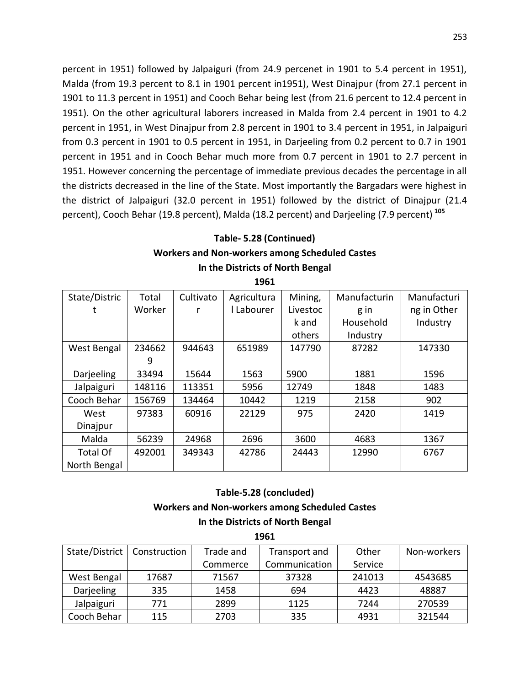percent in 1951) followed by Jalpaiguri (from 24.9 percenet in 1901 to 5.4 percent in 1951), Malda (from 19.3 percent to 8.1 in 1901 percent in1951), West Dinajpur (from 27.1 percent in 1901 to 11.3 percent in 1951) and Cooch Behar being lest (from 21.6 percent to 12.4 percent in 1951). On the other agricultural laborers increased in Malda from 2.4 percent in 1901 to 4.2 percent in 1951, in West Dinajpur from 2.8 percent in 1901 to 3.4 percent in 1951, in Jalpaiguri from 0.3 percent in 1901 to 0.5 percent in 1951, in Darjeeling from 0.2 percent to 0.7 in 1901 percent in 1951 and in Cooch Behar much more from 0.7 percent in 1901 to 2.7 percent in 1951. However concerning the percentage of immediate previous decades the percentage in all the districts decreased in the line of the State. Most importantly the Bargadars were highest in the district of Jalpaiguri (32.0 percent in 1951) followed by the district of Dinajpur (21.4 percent), Cooch Behar (19.8 percent), Malda (18.2 percent) and Darjeeling (7.9 percent) **<sup>105</sup>**

### **Table- 5.28 (Continued) Workers and Non-workers among Scheduled Castes In the Districts of North Bengal**

| State/Distric   | Total  | Cultivato | Agricultura | Mining,  | Manufacturin | Manufacturi |
|-----------------|--------|-----------|-------------|----------|--------------|-------------|
|                 | Worker |           | l Labourer  | Livestoc | g in         | ng in Other |
|                 |        |           |             | k and    | Household    | Industry    |
|                 |        |           |             | others   | Industry     |             |
| West Bengal     | 234662 | 944643    | 651989      | 147790   | 87282        | 147330      |
|                 | 9      |           |             |          |              |             |
| Darjeeling      | 33494  | 15644     | 1563        | 5900     | 1881         | 1596        |
| Jalpaiguri      | 148116 | 113351    | 5956        | 12749    | 1848         | 1483        |
| Cooch Behar     | 156769 | 134464    | 10442       | 1219     | 2158         | 902         |
| West            | 97383  | 60916     | 22129       | 975      | 2420         | 1419        |
| Dinajpur        |        |           |             |          |              |             |
| Malda           | 56239  | 24968     | 2696        | 3600     | 4683         | 1367        |
| <b>Total Of</b> | 492001 | 349343    | 42786       | 24443    | 12990        | 6767        |
| North Bengal    |        |           |             |          |              |             |

**1961**

#### **Table-5.28 (concluded)**

#### **Workers and Non-workers among Scheduled Castes**

**In the Districts of North Bengal 1961**

| 1961 |          |  |  |  |  |  |
|------|----------|--|--|--|--|--|
| and  | Transpor |  |  |  |  |  |

| State/District   Construction |       | Trade and<br>Transport and |               | Other   | Non-workers |
|-------------------------------|-------|----------------------------|---------------|---------|-------------|
|                               |       | Commerce                   | Communication | Service |             |
| West Bengal                   | 17687 | 71567                      | 37328         | 241013  | 4543685     |
| Darjeeling                    | 335   | 1458                       | 694           | 4423    | 48887       |
| Jalpaiguri                    | 771   | 2899                       | 1125          | 7244    | 270539      |
| Cooch Behar                   | 115   | 2703                       | 335           | 4931    | 321544      |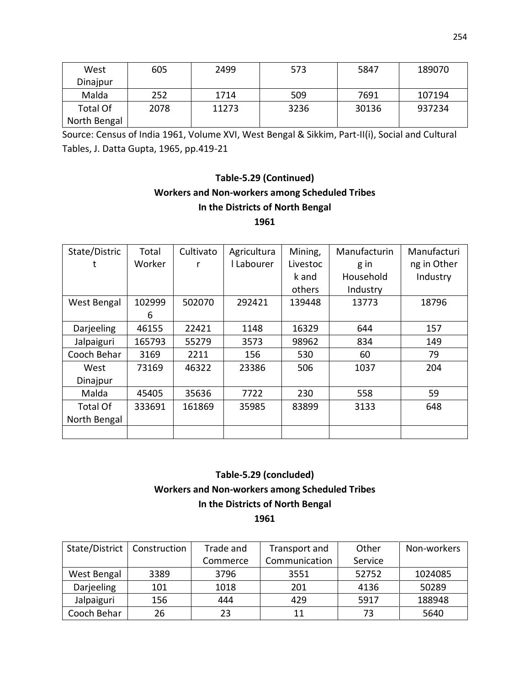| West            | 605  | 2499  | 573  | 5847  | 189070 |
|-----------------|------|-------|------|-------|--------|
| Dinajpur        |      |       |      |       |        |
| Malda           | 252  | 1714  | 509  | 7691  | 107194 |
| <b>Total Of</b> | 2078 | 11273 | 3236 | 30136 | 937234 |
| North Bengal    |      |       |      |       |        |

Source: Census of India 1961, Volume XVI, West Bengal & Sikkim, Part-II(i), Social and Cultural Tables, J. Datta Gupta, 1965, pp.419-21

## **Table-5.29 (Continued) Workers and Non-workers among Scheduled Tribes In the Districts of North Bengal**

**1961**

| State/Distric   | Total  | Cultivato | Agricultura | Mining,  | Manufacturin | Manufacturi |
|-----------------|--------|-----------|-------------|----------|--------------|-------------|
|                 | Worker |           | I Labourer  | Livestoc | g in         | ng in Other |
|                 |        |           |             | k and    | Household    | Industry    |
|                 |        |           |             | others   | Industry     |             |
| West Bengal     | 102999 | 502070    | 292421      | 139448   | 13773        | 18796       |
|                 | 6      |           |             |          |              |             |
| Darjeeling      | 46155  | 22421     | 1148        | 16329    | 644          | 157         |
| Jalpaiguri      | 165793 | 55279     | 3573        | 98962    | 834          | 149         |
| Cooch Behar     | 3169   | 2211      | 156         | 530      | 60           | 79          |
| West            | 73169  | 46322     | 23386       | 506      | 1037         | 204         |
| Dinajpur        |        |           |             |          |              |             |
| Malda           | 45405  | 35636     | 7722        | 230      | 558          | 59          |
| <b>Total Of</b> | 333691 | 161869    | 35985       | 83899    | 3133         | 648         |
| North Bengal    |        |           |             |          |              |             |
|                 |        |           |             |          |              |             |

### **Table-5.29 (concluded) Workers and Non-workers among Scheduled Tribes In the Districts of North Bengal 1961**

| State/District | Construction | Trade and | Transport and | Other   | Non-workers |
|----------------|--------------|-----------|---------------|---------|-------------|
|                |              | Commerce  | Communication | Service |             |
| West Bengal    | 3389         | 3796      | 3551          | 52752   | 1024085     |
| Darjeeling     | 101          | 1018      | 201           | 4136    | 50289       |
| Jalpaiguri     | 156          | 444       | 429           | 5917    | 188948      |
| Cooch Behar    | 26           | 23        | 11            | 73      | 5640        |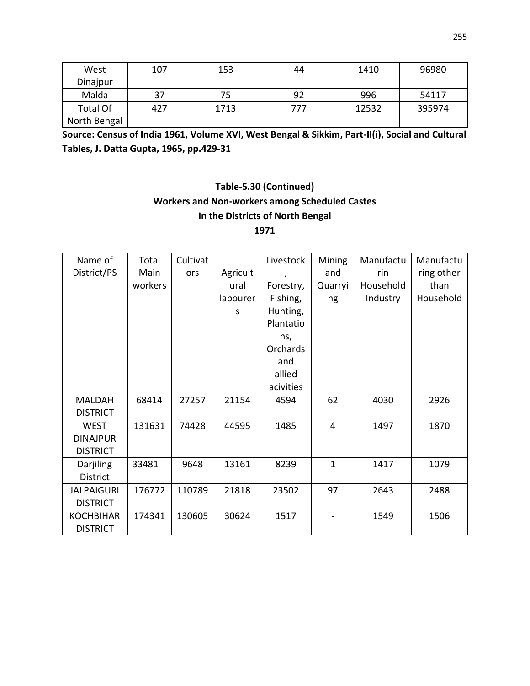| West            | 107 | 153  | 44  | 1410  | 96980  |
|-----------------|-----|------|-----|-------|--------|
| Dinajpur        |     |      |     |       |        |
| Malda           | 37  | 75   | 92  | 996   | 54117  |
| <b>Total Of</b> | 427 | 1713 | 777 | 12532 | 395974 |
| North Bengal    |     |      |     |       |        |

**Source: Census of India 1961, Volume XVI, West Bengal & Sikkim, Part-II(i), Social and Cultural Tables, J. Datta Gupta, 1965, pp.429-31**

# **Table-5.30 (Continued) Workers and Non-workers among Scheduled Castes In the Districts of North Bengal**

**1971**

| Name of           | Total   | Cultivat |          | Livestock | Mining         | Manufactu | Manufactu  |
|-------------------|---------|----------|----------|-----------|----------------|-----------|------------|
| District/PS       | Main    | ors      | Agricult |           | and            | rin       | ring other |
|                   | workers |          | ural     | Forestry, | Quarryi        | Household | than       |
|                   |         |          | labourer | Fishing,  | ng             | Industry  | Household  |
|                   |         |          | S        | Hunting,  |                |           |            |
|                   |         |          |          | Plantatio |                |           |            |
|                   |         |          |          | ns,       |                |           |            |
|                   |         |          |          | Orchards  |                |           |            |
|                   |         |          |          | and       |                |           |            |
|                   |         |          |          | allied    |                |           |            |
|                   |         |          |          | acivities |                |           |            |
| <b>MALDAH</b>     | 68414   | 27257    | 21154    | 4594      | 62             | 4030      | 2926       |
| <b>DISTRICT</b>   |         |          |          |           |                |           |            |
| <b>WEST</b>       | 131631  | 74428    | 44595    | 1485      | $\overline{4}$ | 1497      | 1870       |
| <b>DINAJPUR</b>   |         |          |          |           |                |           |            |
| <b>DISTRICT</b>   |         |          |          |           |                |           |            |
| Darjiling         | 33481   | 9648     | 13161    | 8239      | $\mathbf{1}$   | 1417      | 1079       |
| <b>District</b>   |         |          |          |           |                |           |            |
| <b>JALPAIGURI</b> | 176772  | 110789   | 21818    | 23502     | 97             | 2643      | 2488       |
| <b>DISTRICT</b>   |         |          |          |           |                |           |            |
| <b>KOCHBIHAR</b>  | 174341  | 130605   | 30624    | 1517      |                | 1549      | 1506       |
| <b>DISTRICT</b>   |         |          |          |           |                |           |            |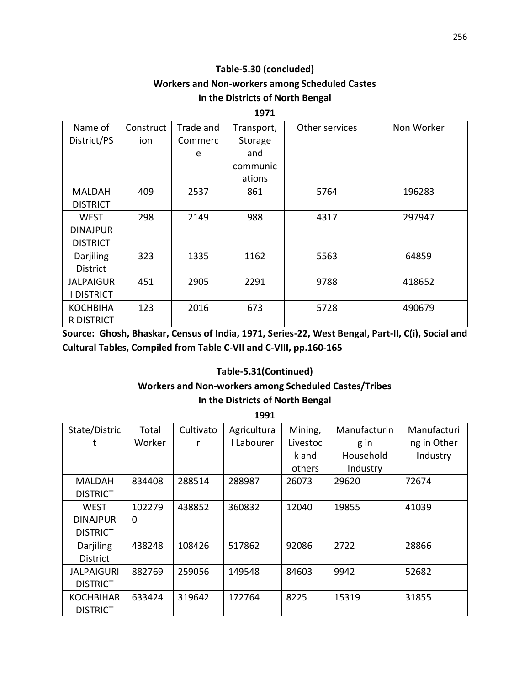### **Table-5.30 (concluded) Workers and Non-workers among Scheduled Castes In the Districts of North Bengal**

#### **1971**

| Name of          | Construct | Trade and | Transport, | Other services | Non Worker |
|------------------|-----------|-----------|------------|----------------|------------|
| District/PS      | ion       | Commerc   | Storage    |                |            |
|                  |           | e         | and        |                |            |
|                  |           |           | communic   |                |            |
|                  |           |           | ations     |                |            |
| <b>MALDAH</b>    | 409       | 2537      | 861        | 5764           | 196283     |
| <b>DISTRICT</b>  |           |           |            |                |            |
| <b>WEST</b>      | 298       | 2149      | 988        | 4317           | 297947     |
| <b>DINAJPUR</b>  |           |           |            |                |            |
| <b>DISTRICT</b>  |           |           |            |                |            |
| Darjiling        | 323       | 1335      | 1162       | 5563           | 64859      |
| <b>District</b>  |           |           |            |                |            |
| <b>JALPAIGUR</b> | 451       | 2905      | 2291       | 9788           | 418652     |
| I DISTRICT       |           |           |            |                |            |
| <b>KOCHBIHA</b>  | 123       | 2016      | 673        | 5728           | 490679     |
| R DISTRICT       |           |           |            |                |            |

**Source: Ghosh, Bhaskar, Census of India, 1971, Series-22, West Bengal, Part-II, C(i), Social and Cultural Tables, Compiled from Table C-VII and C-VIII, pp.160-165**

#### **Table-5.31(Continued)**

### **Workers and Non-workers among Scheduled Castes/Tribes**

#### **In the Districts of North Bengal**

**1991**

| State/Distric     | Total  | Cultivato | Agricultura | Mining,  | Manufacturin | Manufacturi |
|-------------------|--------|-----------|-------------|----------|--------------|-------------|
|                   | Worker | r         | I Labourer  | Livestoc | g in         | ng in Other |
|                   |        |           |             | k and    | Household    | Industry    |
|                   |        |           |             | others   | Industry     |             |
| MALDAH            | 834408 | 288514    | 288987      | 26073    | 29620        | 72674       |
| <b>DISTRICT</b>   |        |           |             |          |              |             |
| <b>WEST</b>       | 102279 | 438852    | 360832      | 12040    | 19855        | 41039       |
| <b>DINAJPUR</b>   | 0      |           |             |          |              |             |
| <b>DISTRICT</b>   |        |           |             |          |              |             |
| Darjiling         | 438248 | 108426    | 517862      | 92086    | 2722         | 28866       |
| <b>District</b>   |        |           |             |          |              |             |
| <b>JALPAIGURI</b> | 882769 | 259056    | 149548      | 84603    | 9942         | 52682       |
| <b>DISTRICT</b>   |        |           |             |          |              |             |
| <b>KOCHBIHAR</b>  | 633424 | 319642    | 172764      | 8225     | 15319        | 31855       |
| <b>DISTRICT</b>   |        |           |             |          |              |             |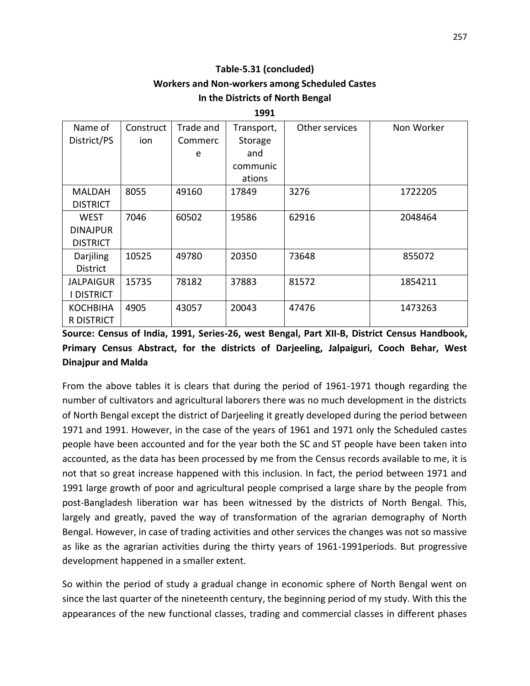### **Table-5.31 (concluded) Workers and Non-workers among Scheduled Castes In the Districts of North Bengal**

**1991**

| Name of           | Construct | Trade and | Transport, | Other services | Non Worker |
|-------------------|-----------|-----------|------------|----------------|------------|
| District/PS       | ion       | Commerc   | Storage    |                |            |
|                   |           | e         | and        |                |            |
|                   |           |           | communic   |                |            |
|                   |           |           | ations     |                |            |
| MALDAH            | 8055      | 49160     | 17849      | 3276           | 1722205    |
| <b>DISTRICT</b>   |           |           |            |                |            |
| <b>WEST</b>       | 7046      | 60502     | 19586      | 62916          | 2048464    |
| <b>DINAJPUR</b>   |           |           |            |                |            |
| <b>DISTRICT</b>   |           |           |            |                |            |
| Darjiling         | 10525     | 49780     | 20350      | 73648          | 855072     |
| <b>District</b>   |           |           |            |                |            |
| <b>JALPAIGUR</b>  | 15735     | 78182     | 37883      | 81572          | 1854211    |
| I DISTRICT        |           |           |            |                |            |
| <b>KOCHBIHA</b>   | 4905      | 43057     | 20043      | 47476          | 1473263    |
| <b>R DISTRICT</b> |           |           |            |                |            |

### **Source: Census of India, 1991, Series-26, west Bengal, Part XII-B, District Census Handbook, Primary Census Abstract, for the districts of Darjeeling, Jalpaiguri, Cooch Behar, West Dinajpur and Malda**

From the above tables it is clears that during the period of 1961-1971 though regarding the number of cultivators and agricultural laborers there was no much development in the districts of North Bengal except the district of Darjeeling it greatly developed during the period between 1971 and 1991. However, in the case of the years of 1961 and 1971 only the Scheduled castes people have been accounted and for the year both the SC and ST people have been taken into accounted, as the data has been processed by me from the Census records available to me, it is not that so great increase happened with this inclusion. In fact, the period between 1971 and 1991 large growth of poor and agricultural people comprised a large share by the people from post-Bangladesh liberation war has been witnessed by the districts of North Bengal. This, largely and greatly, paved the way of transformation of the agrarian demography of North Bengal. However, in case of trading activities and other services the changes was not so massive as like as the agrarian activities during the thirty years of 1961-1991periods. But progressive development happened in a smaller extent.

So within the period of study a gradual change in economic sphere of North Bengal went on since the last quarter of the nineteenth century, the beginning period of my study. With this the appearances of the new functional classes, trading and commercial classes in different phases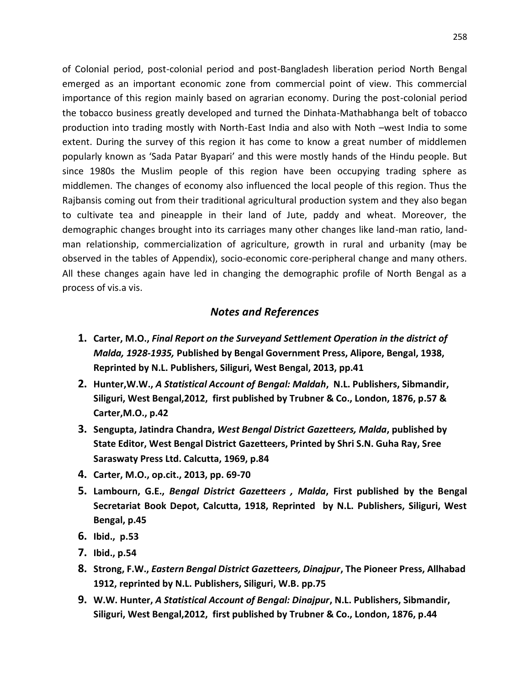of Colonial period, post-colonial period and post-Bangladesh liberation period North Bengal emerged as an important economic zone from commercial point of view. This commercial importance of this region mainly based on agrarian economy. During the post-colonial period the tobacco business greatly developed and turned the Dinhata-Mathabhanga belt of tobacco production into trading mostly with North-East India and also with Noth –west India to some extent. During the survey of this region it has come to know a great number of middlemen popularly known as 'Sada Patar Byapari' and this were mostly hands of the Hindu people. But since 1980s the Muslim people of this region have been occupying trading sphere as middlemen. The changes of economy also influenced the local people of this region. Thus the Rajbansis coming out from their traditional agricultural production system and they also began to cultivate tea and pineapple in their land of Jute, paddy and wheat. Moreover, the demographic changes brought into its carriages many other changes like land-man ratio, landman relationship, commercialization of agriculture, growth in rural and urbanity (may be observed in the tables of Appendix), socio-economic core-peripheral change and many others. All these changes again have led in changing the demographic profile of North Bengal as a process of vis.a vis.

#### *Notes and References*

- **1. Carter, M.O.,** *Final Report on the Surveyand Settlement Operation in the district of Malda, 1928-1935,* **Published by Bengal Government Press, Alipore, Bengal, 1938, Reprinted by N.L. Publishers, Siliguri, West Bengal, 2013, pp.41**
- **2. Hunter,W.W.,** *A Statistical Account of Bengal: Maldah***, N.L. Publishers, Sibmandir, Siliguri, West Bengal,2012, first published by Trubner & Co., London, 1876, p.57 & Carter,M.O., p.42**
- **3. Sengupta, Jatindra Chandra,** *West Bengal District Gazetteers, Malda***, published by State Editor, West Bengal District Gazetteers, Printed by Shri S.N. Guha Ray, Sree Saraswaty Press Ltd. Calcutta, 1969, p.84**
- **4. Carter, M.O., op.cit., 2013, pp. 69-70**
- **5. Lambourn, G.E.,** *Bengal District Gazetteers , Malda***, First published by the Bengal Secretariat Book Depot, Calcutta, 1918, Reprinted by N.L. Publishers, Siliguri, West Bengal, p.45**
- **6. Ibid., p.53**
- **7. Ibid., p.54**
- **8. Strong, F.W.,** *Eastern Bengal District Gazetteers, Dinajpur***, The Pioneer Press, Allhabad 1912, reprinted by N.L. Publishers, Siliguri, W.B. pp.75**
- **9. W.W. Hunter,** *A Statistical Account of Bengal: Dinajpur***, N.L. Publishers, Sibmandir, Siliguri, West Bengal,2012, first published by Trubner & Co., London, 1876, p.44**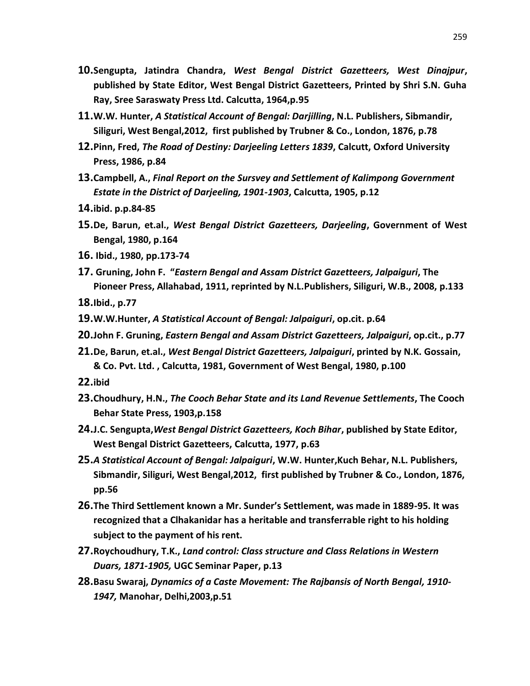- **10.Sengupta, Jatindra Chandra,** *West Bengal District Gazetteers, West Dinajpur***, published by State Editor, West Bengal District Gazetteers, Printed by Shri S.N. Guha Ray, Sree Saraswaty Press Ltd. Calcutta, 1964,p.95**
- **11.W.W. Hunter,** *A Statistical Account of Bengal: Darjilling***, N.L. Publishers, Sibmandir, Siliguri, West Bengal,2012, first published by Trubner & Co., London, 1876, p.78**
- **12.Pinn, Fred,** *The Road of Destiny: Darjeeling Letters 1839***, Calcutt, Oxford University Press, 1986, p.84**
- **13.Campbell, A.,** *Final Report on the Sursvey and Settlement of Kalimpong Government Estate in the District of Darjeeling, 1901-1903***, Calcutta, 1905, p.12**
- **14.ibid. p.p.84-85**
- **15.De, Barun, et.al.,** *West Bengal District Gazetteers, Darjeeling***, Government of West Bengal, 1980, p.164**
- **16. Ibid., 1980, pp.173-74**
- **17. Gruning, John F. "***Eastern Bengal and Assam District Gazetteers, Jalpaiguri***, The Pioneer Press, Allahabad, 1911, reprinted by N.L.Publishers, Siliguri, W.B., 2008, p.133**

**18.Ibid., p.77**

- **19.W.W.Hunter,** *A Statistical Account of Bengal: Jalpaiguri***, op.cit. p.64**
- **20.John F. Gruning,** *Eastern Bengal and Assam District Gazetteers, Jalpaiguri***, op.cit., p.77**
- **21.De, Barun, et.al.,** *West Bengal District Gazetteers, Jalpaiguri***, printed by N.K. Gossain, & Co. Pvt. Ltd. , Calcutta, 1981, Government of West Bengal, 1980, p.100**
- **22.ibid**
- **23.Choudhury, H.N.,** *The Cooch Behar State and its Land Revenue Settlements***, The Cooch Behar State Press, 1903,p.158**
- **24.J.C. Sengupta,***West Bengal District Gazetteers, Koch Bihar***, published by State Editor, West Bengal District Gazetteers, Calcutta, 1977, p.63**
- **25.***A Statistical Account of Bengal: Jalpaiguri***, W.W. Hunter,Kuch Behar, N.L. Publishers, Sibmandir, Siliguri, West Bengal,2012, first published by Trubner & Co., London, 1876, pp.56**
- **26.The Third Settlement known a Mr. Sunder's Settlement, was made in 1889-95. It was recognized that a Clhakanidar has a heritable and transferrable right to his holding subject to the payment of his rent.**
- **27.Roychoudhury, T.K.,** *Land control: Class structure and Class Relations in Western Duars, 1871-1905,* **UGC Seminar Paper, p.13**
- **28.Basu Swaraj,** *Dynamics of a Caste Movement: The Rajbansis of North Bengal, 1910- 1947,* **Manohar, Delhi,2003,p.51**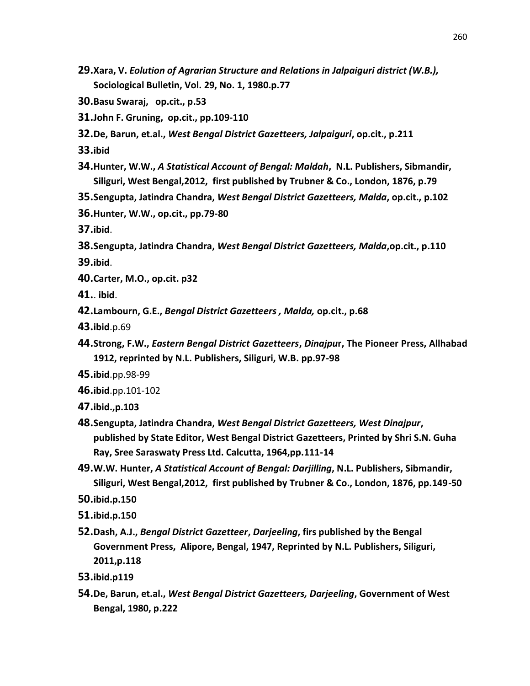- **29.Xara, V.** *Eolution of Agrarian Structure and Relations in Jalpaiguri district (W.B.),* **Sociological Bulletin, Vol. 29, No. 1, 1980.p.77**
- **30.Basu Swaraj, op.cit., p.53**
- **31.John F. Gruning, op.cit., pp.109-110**
- **32.De, Barun, et.al.,** *West Bengal District Gazetteers, Jalpaiguri***, op.cit., p.211**

**33.ibid**

- **34.Hunter, W.W.,** *A Statistical Account of Bengal: Maldah***, N.L. Publishers, Sibmandir, Siliguri, West Bengal,2012, first published by Trubner & Co., London, 1876, p.79**
- **35.Sengupta, Jatindra Chandra,** *West Bengal District Gazetteers, Malda***, op.cit., p.102**
- **36.Hunter, W.W., op.cit., pp.79-80**
- **37.ibid**.
- **38.Sengupta, Jatindra Chandra,** *West Bengal District Gazetteers, Malda***,op.cit., p.110**

**39.ibid**.

- **40.Carter, M.O., op.cit. p32**
- **41.**. **ibid**.
- **42.Lambourn, G.E.,** *Bengal District Gazetteers , Malda,* **op.cit., p.68**
- **43.ibid**.p.69
- **44.Strong, F.W.,** *Eastern Bengal District Gazetteers***,** *Dinajpu***r, The Pioneer Press, Allhabad 1912, reprinted by N.L. Publishers, Siliguri, W.B. pp.97-98**
- **45.ibid**.pp.98-99
- **46.ibid**.pp.101-102
- **47.ibid.,p.103**
- **48.Sengupta, Jatindra Chandra,** *West Bengal District Gazetteers, West Dinajpur***, published by State Editor, West Bengal District Gazetteers, Printed by Shri S.N. Guha Ray, Sree Saraswaty Press Ltd. Calcutta, 1964,pp.111-14**
- **49.W.W. Hunter,** *A Statistical Account of Bengal: Darjilling***, N.L. Publishers, Sibmandir, Siliguri, West Bengal,2012, first published by Trubner & Co., London, 1876, pp.149-50**

**50.ibid.p.150**

- **51.ibid.p.150**
- **52.Dash, A.J.,** *Bengal District Gazetteer***,** *Darjeeling***, firs published by the Bengal Government Press, Alipore, Bengal, 1947, Reprinted by N.L. Publishers, Siliguri, 2011,p.118**
- **53.ibid.p119**
- **54.De, Barun, et.al.,** *West Bengal District Gazetteers, Darjeeling***, Government of West Bengal, 1980, p.222**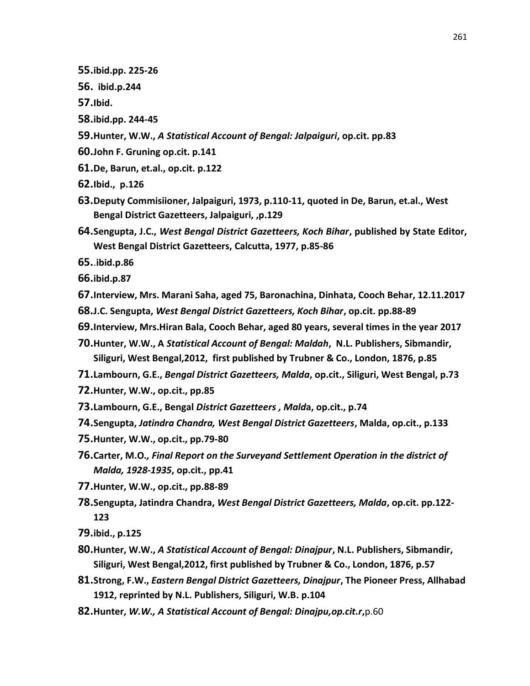- **55.ibid.pp. 225-26**
- **56. ibid.p.244**
- **57.Ibid.**
- **58.ibid.pp. 244-45**
- **59.Hunter, W.W.,** *A Statistical Account of Bengal: Jalpaiguri***, op.cit. pp.83**
- **60.John F. Gruning op.cit. p.141**
- **61.De, Barun, et.al., op.cit. p.122**
- **62.Ibid., p.126**
- **63.Deputy Commisiioner, Jalpaiguri, 1973, p.110-11, quoted in De, Barun, et.al., West Bengal District Gazetteers, Jalpaiguri, ,p.129**
- **64.Sengupta, J.C.,** *West Bengal District Gazetteers, Koch Bihar***, published by State Editor, West Bengal District Gazetteers, Calcutta, 1977, p.85-86**
- **65.**.**ibid.p.86**
- **66.ibid.p.87**
- **67.Interview, Mrs. Marani Saha, aged 75, Baronachina, Dinhata, Cooch Behar, 12.11.2017**
- **68.J.C. Sengupta,** *West Bengal District Gazetteers, Koch Bihar***, op.cit. pp.88-89**
- **69.Interview, Mrs.Hiran Bala, Cooch Behar, aged 80 years, several times in the year 2017**
- **70.Hunter, W.W., A** *Statistical Account of Bengal: Maldah***, N.L. Publishers, Sibmandir, Siliguri, West Bengal,2012, first published by Trubner & Co., London, 1876, p.85**
- **71.Lambourn, G.E.,** *Bengal District Gazetteers, Malda***, op.cit., Siliguri, West Bengal, p.73**
- **72.Hunter, W.W., op.cit., pp.85**
- **73.Lambourn, G.E., Bengal** *District Gazetteers , Mald***a, op.cit., p.74**
- **74.Sengupta,** *Jatindra Chandra, West Bengal District Gazetteers***, Malda, op.cit., p.133**
- **75.Hunter, W.W., op.cit., pp.79-80**
- **76.Carter, M.O***., Final Report on the Surveyand Settlement Operation in the district of Malda, 1928-1935***, op.cit., pp.41**
- **77.Hunter, W.W., op.cit., pp.88-89**
- **78.Sengupta, Jatindra Chandra,** *West Bengal District Gazetteers, Malda***, op.cit. pp.122- 123**
- **79.ibid., p.125**
- **80.Hunter, W.W.,** *A Statistical Account of Bengal: Dinajpur***, N.L. Publishers, Sibmandir, Siliguri, West Bengal,2012, first published by Trubner & Co., London, 1876, p.57**
- **81.Strong, F.W.,** *Eastern Bengal District Gazetteers, Dinajpur***, The Pioneer Press, Allhabad 1912, reprinted by N.L. Publishers, Siliguri, W.B. p.104**
- **82.Hunter,** *W.W., A Statistical Account of Bengal: Dinajpu,op.cit.r***,**p.60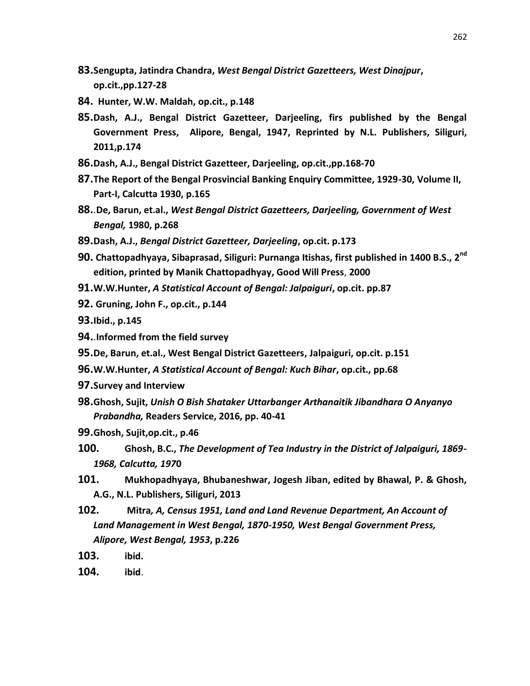- **83.Sengupta, Jatindra Chandra,** *West Bengal District Gazetteers, West Dinajpur***, op.cit.,pp.127-28**
- **84. Hunter, W.W. Maldah, op.cit., p.148**
- **85.Dash, A.J., Bengal District Gazetteer, Darjeeling, firs published by the Bengal Government Press, Alipore, Bengal, 1947, Reprinted by N.L. Publishers, Siliguri, 2011,p.174**
- **86.Dash, A.J., Bengal District Gazetteer, Darjeeling, op.cit.,pp.168-70**
- **87.The Report of the Bengal Prosvincial Banking Enquiry Committee, 1929-30, Volume II, Part-I, Calcutta 1930, p.165**
- **88.**.**De, Barun, et.al.,** *West Bengal District Gazetteers, Darjeeling, Government of West Bengal,* **1980, p.268**
- **89.Dash, A.J.,** *Bengal District Gazetteer, Darjeeling***, op.cit. p.173**
- **90. Chattopadhyaya, Sibaprasad, Siliguri: Purnanga Itishas, first published in 1400 B.S., 2nd edition, printed by Manik Chattopadhyay, Good Will Press**, **2000**
- **91.W.W.Hunter,** *A Statistical Account of Bengal: Jalpaiguri***, op.cit. pp.87**
- **92. Gruning, John F., op.cit., p.144**
- **93.Ibid., p.145**
- **94.**.**Informed from the field survey**
- **95.De, Barun, et.al., West Bengal District Gazetteers, Jalpaiguri, op.cit. p.151**
- **96.W.W.Hunter,** *A Statistical Account of Bengal: Kuch Bihar***, op.cit., pp.68**
- **97.Survey and Interview**
- **98.Ghosh, Sujit,** *Unish O Bish Shataker Uttarbanger Arthanaitik Jibandhara O Anyanyo Prabandha,* **Readers Service, 2016, pp. 40-41**
- **99.Ghosh, Sujit,op.cit., p.46**
- **100. Ghosh, B.C.,** *The Development of Tea Industry in the District of Jalpaiguri, 1869- 1968, Calcutta, 197***0**
- **101. Mukhopadhyaya, Bhubaneshwar, Jogesh Jiban, edited by Bhawal, P. & Ghosh, A.G., N.L. Publishers, Siliguri, 2013**
- **102. Mitra***, A, Census 1951, Land and Land Revenue Department, An Account of Land Management in West Bengal, 1870-1950, West Bengal Government Press, Alipore, West Bengal, 1953***, p.226**
- **103. ibid.**
- **104. ibid**.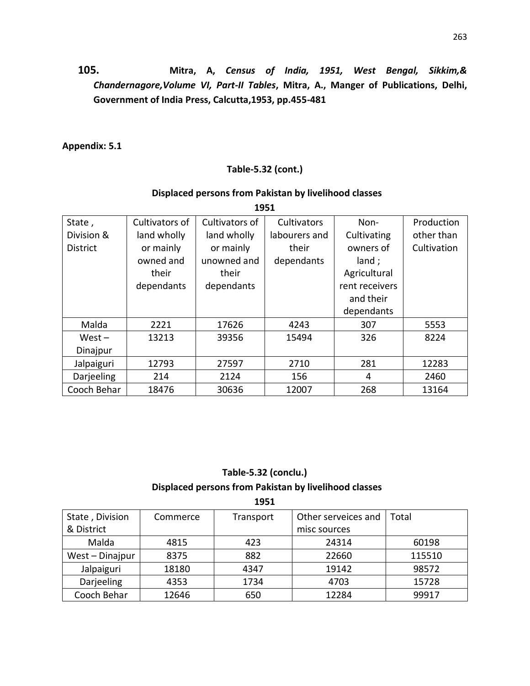**105. Mitra, A,** *Census of India, 1951, West Bengal, Sikkim,& Chandernagore,Volume VI, Part-II Tables***, Mitra, A., Manger of Publications, Delhi, Government of India Press, Calcutta,1953, pp.455-481**

### **Appendix: 5.1**

#### **Table-5.32 (cont.)**

### **Displaced persons from Pakistan by livelihood classes**

| State,          | Cultivators of | Cultivators of | Cultivators   | Non-           | Production  |
|-----------------|----------------|----------------|---------------|----------------|-------------|
| Division &      | land wholly    | land wholly    | labourers and | Cultivating    | other than  |
| <b>District</b> | or mainly      | or mainly      | their         | owners of      | Cultivation |
|                 | owned and      | unowned and    | dependants    | land;          |             |
|                 | their          | their          |               | Agricultural   |             |
|                 | dependants     | dependants     |               | rent receivers |             |
|                 |                |                |               | and their      |             |
|                 |                |                |               | dependants     |             |
| Malda           | 2221           | 17626          | 4243          | 307            | 5553        |
| $West -$        | 13213          | 39356          | 15494         | 326            | 8224        |
| Dinajpur        |                |                |               |                |             |
| Jalpaiguri      | 12793          | 27597          | 2710          | 281            | 12283       |
| Darjeeling      | 214            | 2124           | 156           | 4              | 2460        |
| Cooch Behar     | 18476          | 30636          | 12007         | 268            | 13164       |

**1951** 

### **Table-5.32 (conclu.) Displaced persons from Pakistan by livelihood classes**

| 1951            |          |           |                     |        |  |  |  |  |  |
|-----------------|----------|-----------|---------------------|--------|--|--|--|--|--|
| State, Division | Commerce | Transport | Other serveices and | Total  |  |  |  |  |  |
| & District      |          |           | misc sources        |        |  |  |  |  |  |
| Malda           | 4815     | 423       | 24314               | 60198  |  |  |  |  |  |
| West - Dinajpur | 8375     | 882       | 22660               | 115510 |  |  |  |  |  |
| Jalpaiguri      | 18180    | 4347      | 19142               | 98572  |  |  |  |  |  |
| Darjeeling      | 4353     | 1734      | 4703                | 15728  |  |  |  |  |  |
| Cooch Behar     | 12646    | 650       | 12284               | 99917  |  |  |  |  |  |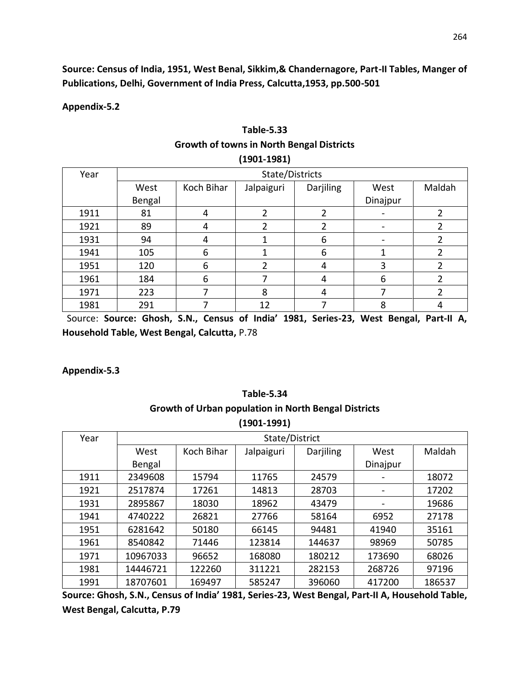**Source: Census of India, 1951, West Benal, Sikkim,& Chandernagore, Part-II Tables, Manger of Publications, Delhi, Government of India Press, Calcutta,1953, pp.500-501**

**Appendix-5.2**

| $(1901 - 1981)$ |                 |            |                |                  |          |        |  |  |
|-----------------|-----------------|------------|----------------|------------------|----------|--------|--|--|
| Year            | State/Districts |            |                |                  |          |        |  |  |
|                 | West            | Koch Bihar | Jalpaiguri     | <b>Darjiling</b> | West     | Maldah |  |  |
|                 | Bengal          |            |                |                  | Dinajpur |        |  |  |
| 1911            | 81              | 4          | 2              | 2                |          | 2      |  |  |
| 1921            | 89              | 4          | 2              | 2                |          | 2      |  |  |
| 1931            | 94              | 4          |                | 6                |          | 2      |  |  |
| 1941            | 105             | 6          |                | 6                | 1        | 2      |  |  |
| 1951            | 120             | 6          | $\overline{2}$ | 4                | 3        | 2      |  |  |
| 1961            | 184             | 6          |                | 4                | 6        | 2      |  |  |
| 1971            | 223             | 7          | 8              | 4                |          | 2      |  |  |
| 1981            | 291             |            | 12             | 7                | 8        | 4      |  |  |

# **Table-5.33 Growth of towns in North Bengal Districts**

 Source: **Source: Ghosh, S.N., Census of India' 1981, Series-23, West Bengal, Part-II A, Household Table, West Bengal, Calcutta,** P.78

**Appendix-5.3**

#### **Table-5.34 Growth of Urban population in North Bengal Districts (1901-1991)**

| (エンVエ-エンジエ) |                |            |            |           |          |        |  |  |
|-------------|----------------|------------|------------|-----------|----------|--------|--|--|
| Year        | State/District |            |            |           |          |        |  |  |
|             | West           | Koch Bihar | Jalpaiguri | Darjiling | West     | Maldah |  |  |
|             | Bengal         |            |            |           | Dinajpur |        |  |  |
| 1911        | 2349608        | 15794      | 11765      | 24579     |          | 18072  |  |  |
| 1921        | 2517874        | 17261      | 14813      | 28703     |          | 17202  |  |  |
| 1931        | 2895867        | 18030      | 18962      | 43479     |          | 19686  |  |  |
| 1941        | 4740222        | 26821      | 27766      | 58164     | 6952     | 27178  |  |  |
| 1951        | 6281642        | 50180      | 66145      | 94481     | 41940    | 35161  |  |  |
| 1961        | 8540842        | 71446      | 123814     | 144637    | 98969    | 50785  |  |  |
| 1971        | 10967033       | 96652      | 168080     | 180212    | 173690   | 68026  |  |  |
| 1981        | 14446721       | 122260     | 311221     | 282153    | 268726   | 97196  |  |  |
| 1991        | 18707601       | 169497     | 585247     | 396060    | 417200   | 186537 |  |  |

**Source: Ghosh, S.N., Census of India' 1981, Series-23, West Bengal, Part-II A, Household Table, West Bengal, Calcutta, P.79**